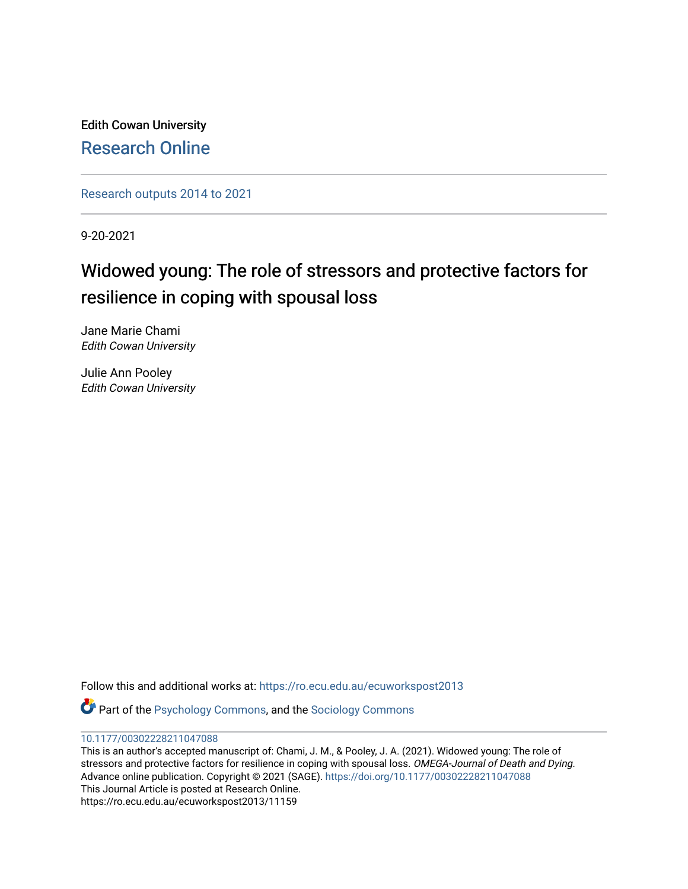Edith Cowan University [Research Online](https://ro.ecu.edu.au/) 

[Research outputs 2014 to 2021](https://ro.ecu.edu.au/ecuworkspost2013) 

9-20-2021

# Widowed young: The role of stressors and protective factors for resilience in coping with spousal loss

Jane Marie Chami Edith Cowan University

Julie Ann Pooley Edith Cowan University

Follow this and additional works at: [https://ro.ecu.edu.au/ecuworkspost2013](https://ro.ecu.edu.au/ecuworkspost2013?utm_source=ro.ecu.edu.au%2Fecuworkspost2013%2F11159&utm_medium=PDF&utm_campaign=PDFCoverPages) 

Part of the [Psychology Commons,](http://network.bepress.com/hgg/discipline/404?utm_source=ro.ecu.edu.au%2Fecuworkspost2013%2F11159&utm_medium=PDF&utm_campaign=PDFCoverPages) and the [Sociology Commons](http://network.bepress.com/hgg/discipline/416?utm_source=ro.ecu.edu.au%2Fecuworkspost2013%2F11159&utm_medium=PDF&utm_campaign=PDFCoverPages) 

#### [10.1177/00302228211047088](http://dx.doi.org/10.1177/00302228211047088)

This is an author's accepted manuscript of: Chami, J. M., & Pooley, J. A. (2021). Widowed young: The role of stressors and protective factors for resilience in coping with spousal loss. OMEGA-Journal of Death and Dying. Advance online publication. Copyright © 2021 (SAGE). [https://doi.org/10.1177/00302228211047088](https://doi.org/10.1177/00302228211047088%20target=_blank)  This Journal Article is posted at Research Online. https://ro.ecu.edu.au/ecuworkspost2013/11159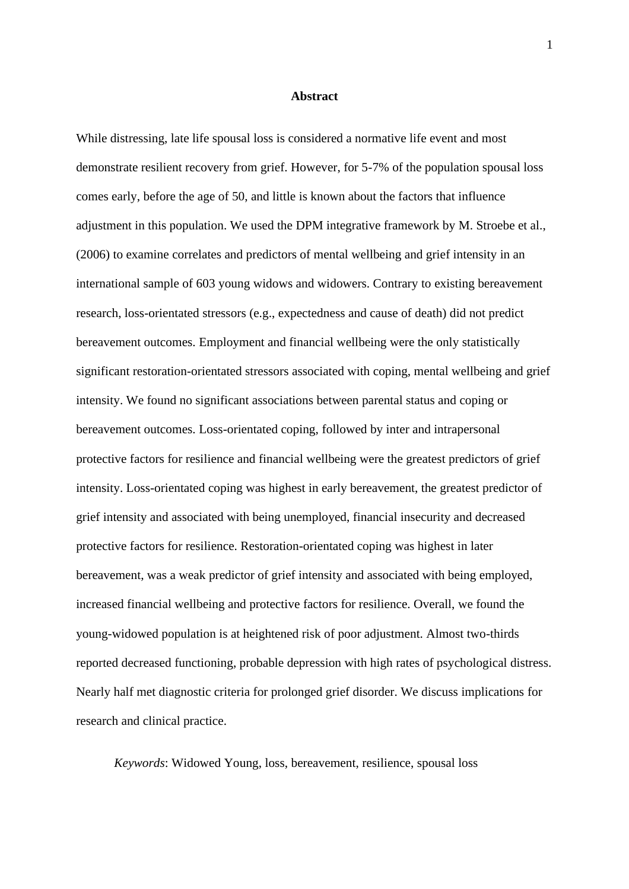#### **Abstract**

While distressing, late life spousal loss is considered a normative life event and most demonstrate resilient recovery from grief. However, for 5-7% of the population spousal loss comes early, before the age of 50, and little is known about the factors that influence adjustment in this population. We used the DPM integrative framework by M. Stroebe et al., (2006) to examine correlates and predictors of mental wellbeing and grief intensity in an international sample of 603 young widows and widowers. Contrary to existing bereavement research, loss-orientated stressors (e.g., expectedness and cause of death) did not predict bereavement outcomes. Employment and financial wellbeing were the only statistically significant restoration-orientated stressors associated with coping, mental wellbeing and grief intensity. We found no significant associations between parental status and coping or bereavement outcomes. Loss-orientated coping, followed by inter and intrapersonal protective factors for resilience and financial wellbeing were the greatest predictors of grief intensity. Loss-orientated coping was highest in early bereavement, the greatest predictor of grief intensity and associated with being unemployed, financial insecurity and decreased protective factors for resilience. Restoration-orientated coping was highest in later bereavement, was a weak predictor of grief intensity and associated with being employed, increased financial wellbeing and protective factors for resilience. Overall, we found the young-widowed population is at heightened risk of poor adjustment. Almost two-thirds reported decreased functioning, probable depression with high rates of psychological distress. Nearly half met diagnostic criteria for prolonged grief disorder. We discuss implications for research and clinical practice.

*Keywords*: Widowed Young, loss, bereavement, resilience, spousal loss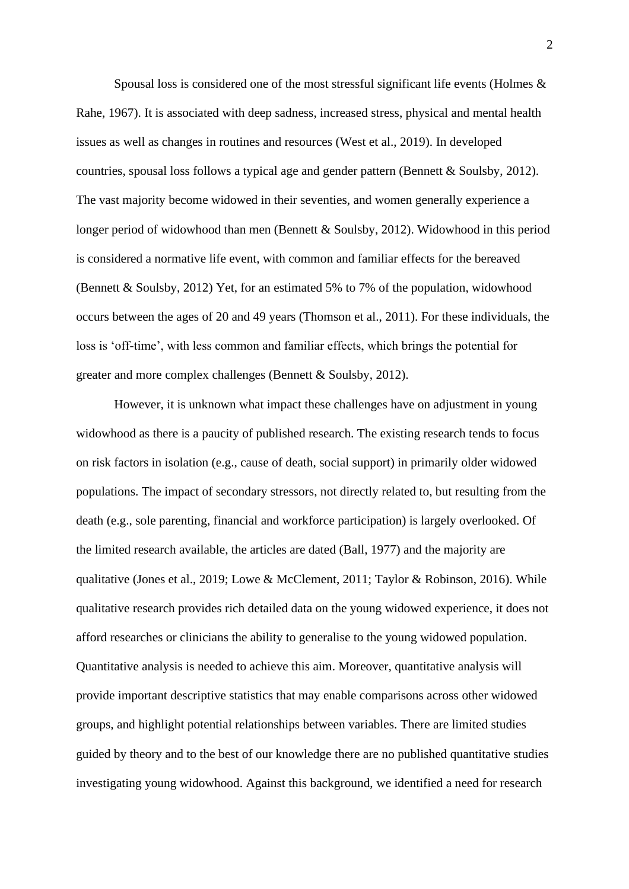Spousal loss is considered one of the most stressful significant life events (Holmes & Rahe, 1967). It is associated with deep sadness, increased stress, physical and mental health issues as well as changes in routines and resources (West et al., 2019). In developed countries, spousal loss follows a typical age and gender pattern (Bennett & Soulsby, 2012). The vast majority become widowed in their seventies, and women generally experience a longer period of widowhood than men (Bennett & Soulsby, 2012). Widowhood in this period is considered a normative life event, with common and familiar effects for the bereaved (Bennett & Soulsby, 2012) Yet, for an estimated 5% to 7% of the population, widowhood occurs between the ages of 20 and 49 years (Thomson et al., 2011). For these individuals, the loss is 'off-time', with less common and familiar effects, which brings the potential for greater and more complex challenges (Bennett & Soulsby, 2012).

However, it is unknown what impact these challenges have on adjustment in young widowhood as there is a paucity of published research. The existing research tends to focus on risk factors in isolation (e.g., cause of death, social support) in primarily older widowed populations. The impact of secondary stressors, not directly related to, but resulting from the death (e.g., sole parenting, financial and workforce participation) is largely overlooked. Of the limited research available, the articles are dated (Ball, 1977) and the majority are qualitative (Jones et al., 2019; Lowe & McClement, 2011; Taylor & Robinson, 2016). While qualitative research provides rich detailed data on the young widowed experience, it does not afford researches or clinicians the ability to generalise to the young widowed population. Quantitative analysis is needed to achieve this aim. Moreover, quantitative analysis will provide important descriptive statistics that may enable comparisons across other widowed groups, and highlight potential relationships between variables. There are limited studies guided by theory and to the best of our knowledge there are no published quantitative studies investigating young widowhood. Against this background, we identified a need for research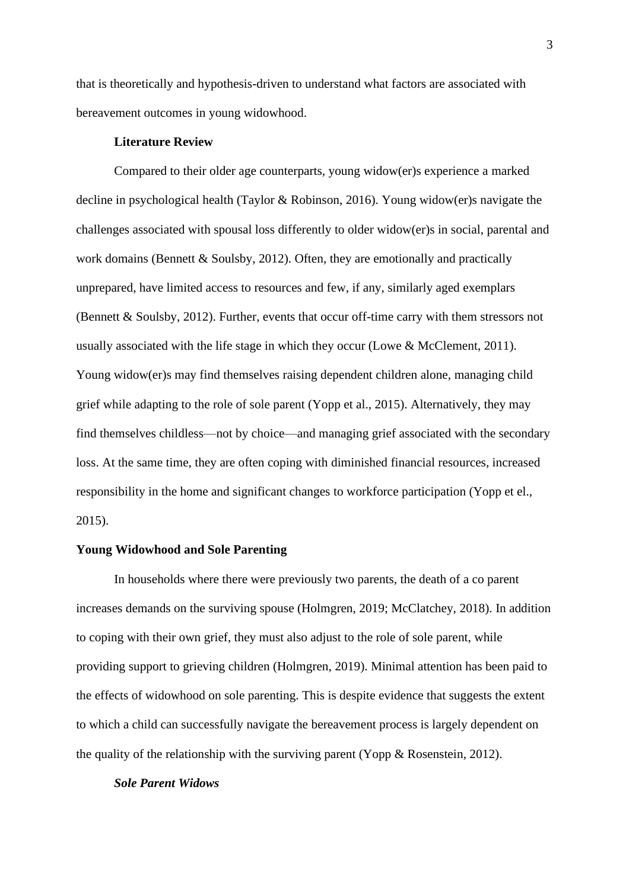that is theoretically and hypothesis-driven to understand what factors are associated with bereavement outcomes in young widowhood.

## **Literature Review**

Compared to their older age counterparts, young widow(er)s experience a marked decline in psychological health (Taylor & Robinson, 2016). Young widow(er)s navigate the challenges associated with spousal loss differently to older widow(er)s in social, parental and work domains (Bennett & Soulsby, 2012). Often, they are emotionally and practically unprepared, have limited access to resources and few, if any, similarly aged exemplars (Bennett & Soulsby, 2012). Further, events that occur off-time carry with them stressors not usually associated with the life stage in which they occur (Lowe & McClement, 2011). Young widow(er)s may find themselves raising dependent children alone, managing child grief while adapting to the role of sole parent (Yopp et al., 2015). Alternatively, they may find themselves childless—not by choice—and managing grief associated with the secondary loss. At the same time, they are often coping with diminished financial resources, increased responsibility in the home and significant changes to workforce participation (Yopp et el., 2015).

# **Young Widowhood and Sole Parenting**

In households where there were previously two parents, the death of a co parent increases demands on the surviving spouse (Holmgren, 2019; McClatchey, 2018). In addition to coping with their own grief, they must also adjust to the role of sole parent, while providing support to grieving children (Holmgren, 2019). Minimal attention has been paid to the effects of widowhood on sole parenting. This is despite evidence that suggests the extent to which a child can successfully navigate the bereavement process is largely dependent on the quality of the relationship with the surviving parent (Yopp & Rosenstein, 2012).

# *Sole Parent Widows*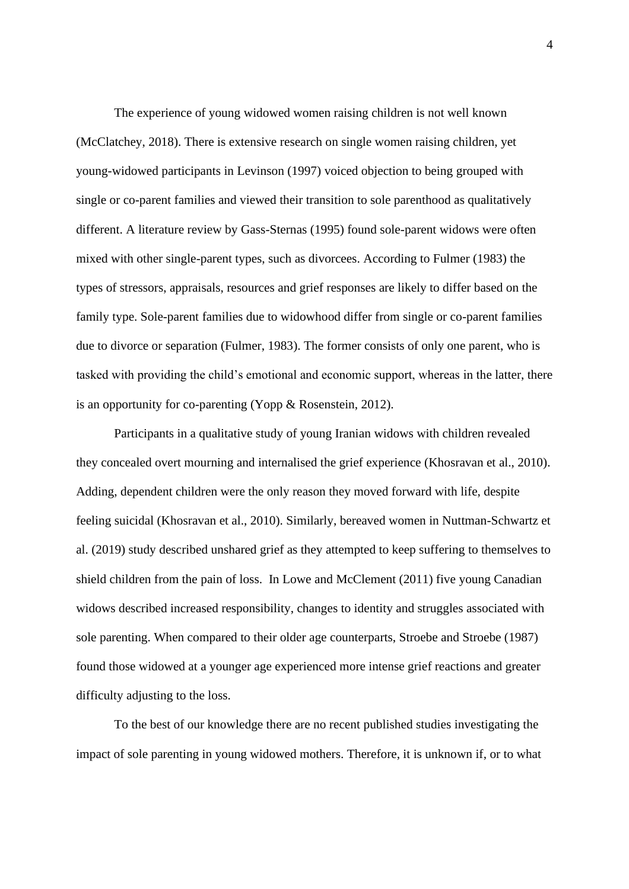The experience of young widowed women raising children is not well known (McClatchey, 2018). There is extensive research on single women raising children, yet young-widowed participants in Levinson (1997) voiced objection to being grouped with single or co-parent families and viewed their transition to sole parenthood as qualitatively different. A literature review by Gass-Sternas (1995) found sole-parent widows were often mixed with other single-parent types, such as divorcees. According to Fulmer (1983) the types of stressors, appraisals, resources and grief responses are likely to differ based on the family type. Sole-parent families due to widowhood differ from single or co-parent families due to divorce or separation (Fulmer, 1983). The former consists of only one parent, who is tasked with providing the child's emotional and economic support, whereas in the latter, there is an opportunity for co-parenting (Yopp & Rosenstein, 2012).

Participants in a qualitative study of young Iranian widows with children revealed they concealed overt mourning and internalised the grief experience (Khosravan et al., 2010). Adding, dependent children were the only reason they moved forward with life, despite feeling suicidal (Khosravan et al., 2010). Similarly, bereaved women in Nuttman-Schwartz et al. (2019) study described unshared grief as they attempted to keep suffering to themselves to shield children from the pain of loss. In Lowe and McClement (2011) five young Canadian widows described increased responsibility, changes to identity and struggles associated with sole parenting. When compared to their older age counterparts, Stroebe and Stroebe (1987) found those widowed at a younger age experienced more intense grief reactions and greater difficulty adjusting to the loss.

To the best of our knowledge there are no recent published studies investigating the impact of sole parenting in young widowed mothers. Therefore, it is unknown if, or to what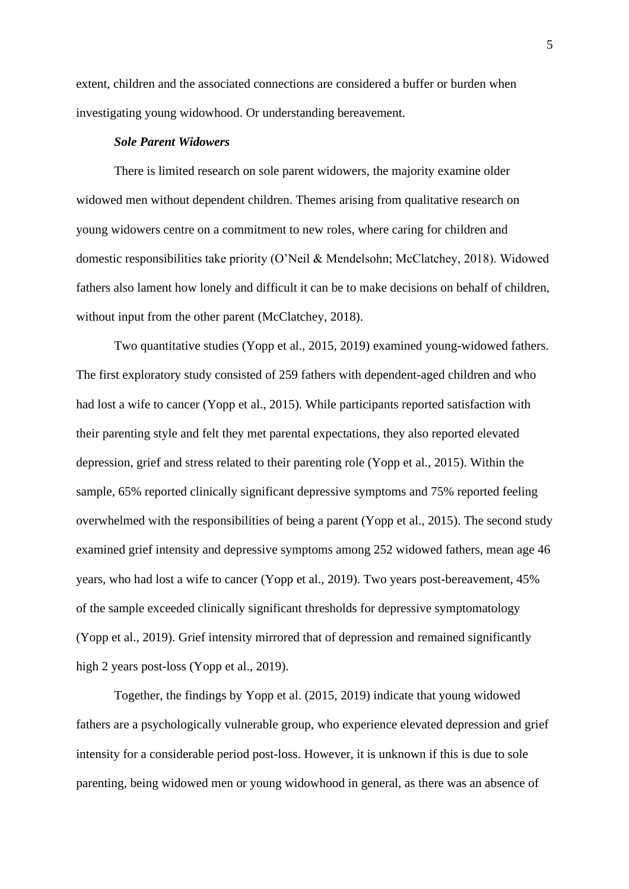extent, children and the associated connections are considered a buffer or burden when investigating young widowhood. Or understanding bereavement.

## *Sole Parent Widowers*

There is limited research on sole parent widowers, the majority examine older widowed men without dependent children. Themes arising from qualitative research on young widowers centre on a commitment to new roles, where caring for children and domestic responsibilities take priority (O'Neil & Mendelsohn; McClatchey, 2018). Widowed fathers also lament how lonely and difficult it can be to make decisions on behalf of children, without input from the other parent (McClatchey, 2018).

Two quantitative studies (Yopp et al., 2015, 2019) examined young-widowed fathers. The first exploratory study consisted of 259 fathers with dependent-aged children and who had lost a wife to cancer (Yopp et al., 2015). While participants reported satisfaction with their parenting style and felt they met parental expectations, they also reported elevated depression, grief and stress related to their parenting role (Yopp et al., 2015). Within the sample, 65% reported clinically significant depressive symptoms and 75% reported feeling overwhelmed with the responsibilities of being a parent (Yopp et al., 2015). The second study examined grief intensity and depressive symptoms among 252 widowed fathers, mean age 46 years, who had lost a wife to cancer (Yopp et al., 2019). Two years post-bereavement, 45% of the sample exceeded clinically significant thresholds for depressive symptomatology (Yopp et al., 2019). Grief intensity mirrored that of depression and remained significantly high 2 years post-loss (Yopp et al., 2019).

Together, the findings by Yopp et al. (2015, 2019) indicate that young widowed fathers are a psychologically vulnerable group, who experience elevated depression and grief intensity for a considerable period post-loss. However, it is unknown if this is due to sole parenting, being widowed men or young widowhood in general, as there was an absence of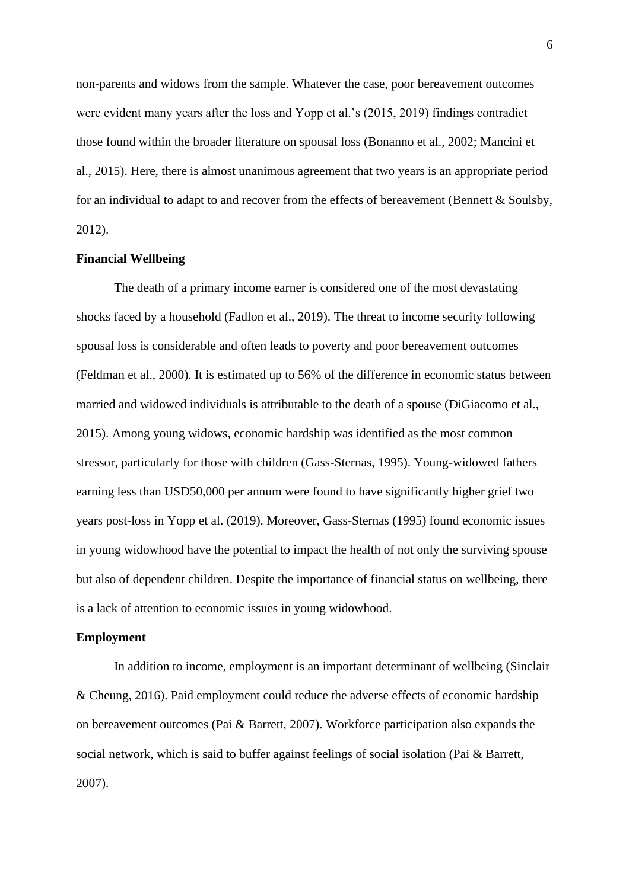non-parents and widows from the sample. Whatever the case, poor bereavement outcomes were evident many years after the loss and Yopp et al.'s (2015, 2019) findings contradict those found within the broader literature on spousal loss (Bonanno et al., 2002; Mancini et al., 2015). Here, there is almost unanimous agreement that two years is an appropriate period for an individual to adapt to and recover from the effects of bereavement (Bennett  $&$  Soulsby, 2012).

# **Financial Wellbeing**

The death of a primary income earner is considered one of the most devastating shocks faced by a household (Fadlon et al., 2019). The threat to income security following spousal loss is considerable and often leads to poverty and poor bereavement outcomes (Feldman et al., 2000). It is estimated up to 56% of the difference in economic status between married and widowed individuals is attributable to the death of a spouse (DiGiacomo et al., 2015). Among young widows, economic hardship was identified as the most common stressor, particularly for those with children (Gass-Sternas, 1995). Young-widowed fathers earning less than USD50,000 per annum were found to have significantly higher grief two years post-loss in Yopp et al. (2019). Moreover, Gass-Sternas (1995) found economic issues in young widowhood have the potential to impact the health of not only the surviving spouse but also of dependent children. Despite the importance of financial status on wellbeing, there is a lack of attention to economic issues in young widowhood.

#### **Employment**

In addition to income, employment is an important determinant of wellbeing (Sinclair & Cheung, 2016). Paid employment could reduce the adverse effects of economic hardship on bereavement outcomes (Pai & Barrett, 2007). Workforce participation also expands the social network, which is said to buffer against feelings of social isolation (Pai & Barrett, 2007).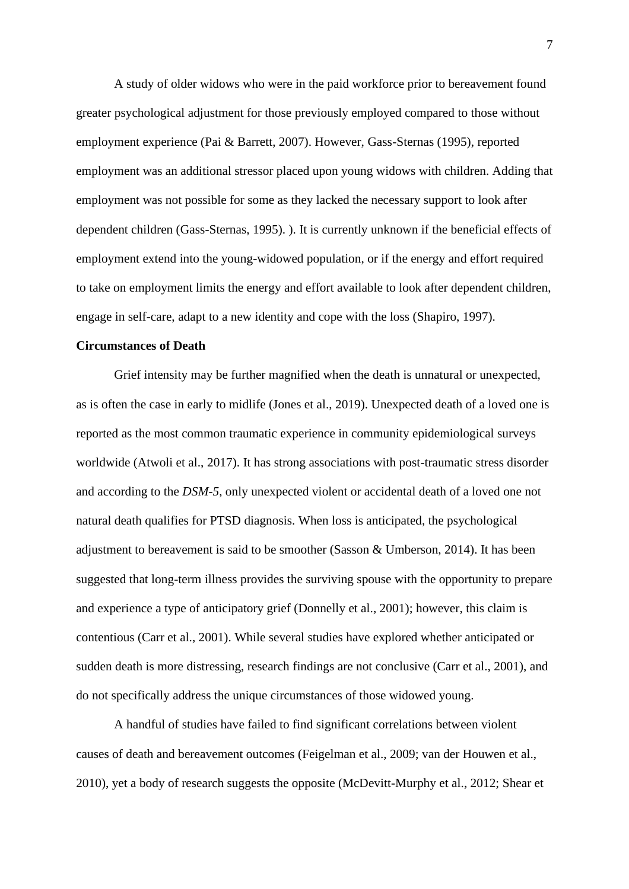A study of older widows who were in the paid workforce prior to bereavement found greater psychological adjustment for those previously employed compared to those without employment experience (Pai & Barrett, 2007). However, Gass-Sternas (1995), reported employment was an additional stressor placed upon young widows with children. Adding that employment was not possible for some as they lacked the necessary support to look after dependent children (Gass-Sternas, 1995). ). It is currently unknown if the beneficial effects of employment extend into the young-widowed population, or if the energy and effort required to take on employment limits the energy and effort available to look after dependent children, engage in self-care, adapt to a new identity and cope with the loss (Shapiro, 1997).

# **Circumstances of Death**

Grief intensity may be further magnified when the death is unnatural or unexpected, as is often the case in early to midlife (Jones et al., 2019). Unexpected death of a loved one is reported as the most common traumatic experience in community epidemiological surveys worldwide (Atwoli et al., 2017). It has strong associations with post-traumatic stress disorder and according to the *DSM-5*, only unexpected violent or accidental death of a loved one not natural death qualifies for PTSD diagnosis. When loss is anticipated, the psychological adjustment to bereavement is said to be smoother (Sasson & Umberson, 2014). It has been suggested that long-term illness provides the surviving spouse with the opportunity to prepare and experience a type of anticipatory grief (Donnelly et al., 2001); however, this claim is contentious (Carr et al., 2001). While several studies have explored whether anticipated or sudden death is more distressing, research findings are not conclusive (Carr et al., 2001), and do not specifically address the unique circumstances of those widowed young.

A handful of studies have failed to find significant correlations between violent causes of death and bereavement outcomes (Feigelman et al., 2009; van der Houwen et al., 2010), yet a body of research suggests the opposite (McDevitt-Murphy et al., 2012; Shear et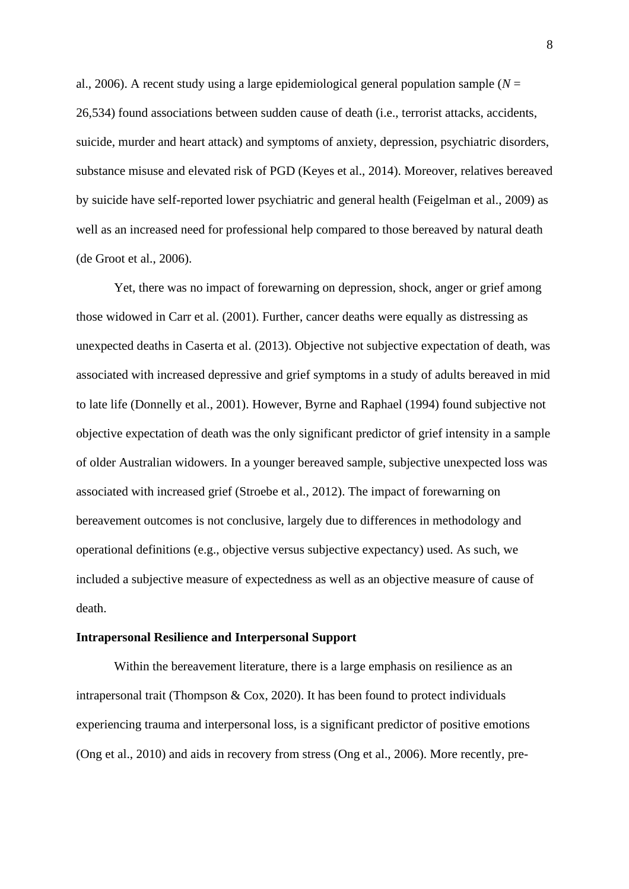al., 2006). A recent study using a large epidemiological general population sample ( $N =$ 26,534) found associations between sudden cause of death (i.e., terrorist attacks, accidents, suicide, murder and heart attack) and symptoms of anxiety, depression, psychiatric disorders, substance misuse and elevated risk of PGD (Keyes et al., 2014). Moreover, relatives bereaved by suicide have self-reported lower psychiatric and general health (Feigelman et al., 2009) as well as an increased need for professional help compared to those bereaved by natural death (de Groot et al., 2006).

Yet, there was no impact of forewarning on depression, shock, anger or grief among those widowed in Carr et al. (2001). Further, cancer deaths were equally as distressing as unexpected deaths in Caserta et al. (2013). Objective not subjective expectation of death, was associated with increased depressive and grief symptoms in a study of adults bereaved in mid to late life (Donnelly et al., 2001). However, Byrne and Raphael (1994) found subjective not objective expectation of death was the only significant predictor of grief intensity in a sample of older Australian widowers. In a younger bereaved sample, subjective unexpected loss was associated with increased grief (Stroebe et al., 2012). The impact of forewarning on bereavement outcomes is not conclusive, largely due to differences in methodology and operational definitions (e.g., objective versus subjective expectancy) used. As such, we included a subjective measure of expectedness as well as an objective measure of cause of death.

#### **Intrapersonal Resilience and Interpersonal Support**

Within the bereavement literature, there is a large emphasis on resilience as an intrapersonal trait (Thompson & Cox, 2020). It has been found to protect individuals experiencing trauma and interpersonal loss, is a significant predictor of positive emotions (Ong et al., 2010) and aids in recovery from stress (Ong et al., 2006). More recently, pre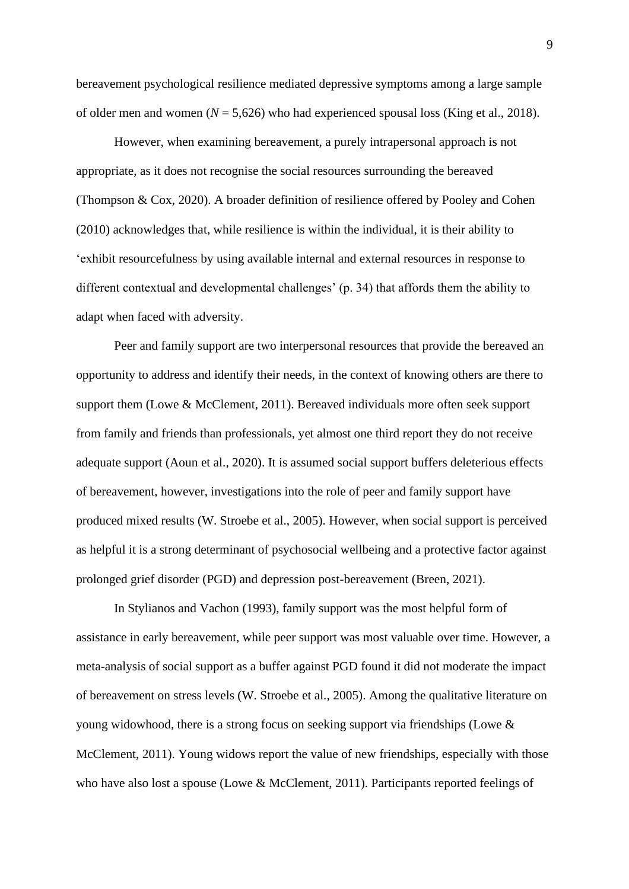bereavement psychological resilience mediated depressive symptoms among a large sample of older men and women  $(N = 5,626)$  who had experienced spousal loss (King et al., 2018).

However, when examining bereavement, a purely intrapersonal approach is not appropriate, as it does not recognise the social resources surrounding the bereaved (Thompson & Cox, 2020). A broader definition of resilience offered by Pooley and Cohen (2010) acknowledges that, while resilience is within the individual, it is their ability to 'exhibit resourcefulness by using available internal and external resources in response to different contextual and developmental challenges' (p. 34) that affords them the ability to adapt when faced with adversity.

Peer and family support are two interpersonal resources that provide the bereaved an opportunity to address and identify their needs, in the context of knowing others are there to support them (Lowe & McClement, 2011). Bereaved individuals more often seek support from family and friends than professionals, yet almost one third report they do not receive adequate support (Aoun et al., 2020). It is assumed social support buffers deleterious effects of bereavement, however, investigations into the role of peer and family support have produced mixed results (W. Stroebe et al., 2005). However, when social support is perceived as helpful it is a strong determinant of psychosocial wellbeing and a protective factor against prolonged grief disorder (PGD) and depression post-bereavement (Breen, 2021).

In Stylianos and Vachon (1993), family support was the most helpful form of assistance in early bereavement, while peer support was most valuable over time. However, a meta-analysis of social support as a buffer against PGD found it did not moderate the impact of bereavement on stress levels (W. Stroebe et al., 2005). Among the qualitative literature on young widowhood, there is a strong focus on seeking support via friendships (Lowe & McClement, 2011). Young widows report the value of new friendships, especially with those who have also lost a spouse (Lowe & McClement, 2011). Participants reported feelings of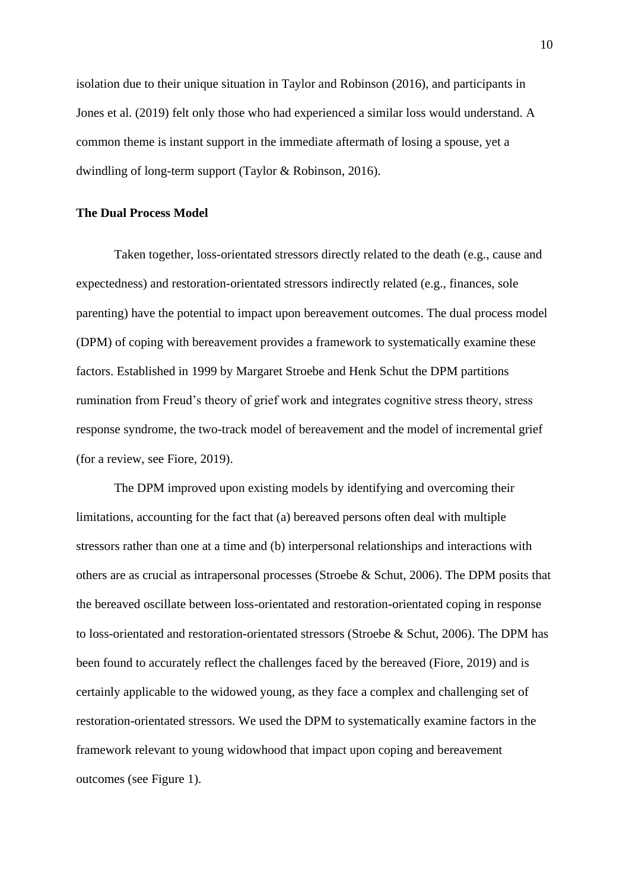isolation due to their unique situation in Taylor and Robinson (2016), and participants in Jones et al. (2019) felt only those who had experienced a similar loss would understand. A common theme is instant support in the immediate aftermath of losing a spouse, yet a dwindling of long-term support (Taylor & Robinson, 2016).

## **The Dual Process Model**

Taken together, loss-orientated stressors directly related to the death (e.g., cause and expectedness) and restoration-orientated stressors indirectly related (e.g., finances, sole parenting) have the potential to impact upon bereavement outcomes. The dual process model (DPM) of coping with bereavement provides a framework to systematically examine these factors. Established in 1999 by Margaret Stroebe and Henk Schut the DPM partitions rumination from Freud's theory of grief work and integrates cognitive stress theory, stress response syndrome, the two-track model of bereavement and the model of incremental grief (for a review, see Fiore, 2019).

The DPM improved upon existing models by identifying and overcoming their limitations, accounting for the fact that (a) bereaved persons often deal with multiple stressors rather than one at a time and (b) interpersonal relationships and interactions with others are as crucial as intrapersonal processes (Stroebe & Schut, 2006). The DPM posits that the bereaved oscillate between loss-orientated and restoration-orientated coping in response to loss-orientated and restoration-orientated stressors (Stroebe & Schut, 2006). The DPM has been found to accurately reflect the challenges faced by the bereaved (Fiore, 2019) and is certainly applicable to the widowed young, as they face a complex and challenging set of restoration-orientated stressors. We used the DPM to systematically examine factors in the framework relevant to young widowhood that impact upon coping and bereavement outcomes (see Figure 1).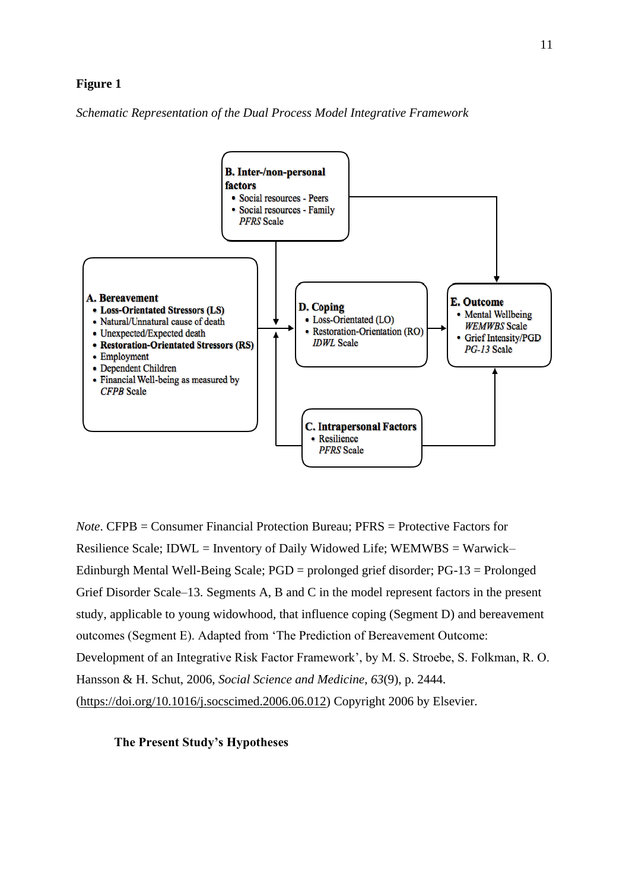# **Figure 1**

*Schematic Representation of the Dual Process Model Integrative Framework*



*Note*. CFPB = Consumer Financial Protection Bureau; PFRS = Protective Factors for Resilience Scale; IDWL = Inventory of Daily Widowed Life; WEMWBS = Warwick– Edinburgh Mental Well-Being Scale; PGD = prolonged grief disorder; PG-13 = Prolonged Grief Disorder Scale–13. Segments A, B and C in the model represent factors in the present study, applicable to young widowhood, that influence coping (Segment D) and bereavement outcomes (Segment E). Adapted from 'The Prediction of Bereavement Outcome: Development of an Integrative Risk Factor Framework', by M. S. Stroebe, S. Folkman, R. O. Hansson & H. Schut, 2006, *Social Science and Medicine*, *63*(9), p. 2444. [\(https://doi.org/10.1016/j.socscimed.2006.06.012\)](https://doi.org/10.1016/j.socscimed.2006.06.012) Copyright 2006 by Elsevier.

## **The Present Study's Hypotheses**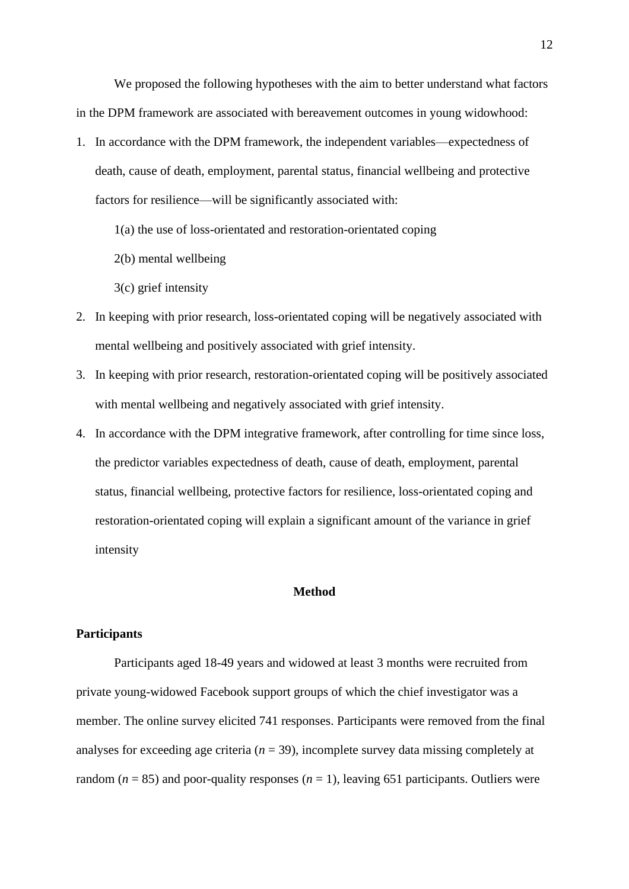We proposed the following hypotheses with the aim to better understand what factors in the DPM framework are associated with bereavement outcomes in young widowhood:

- 1. In accordance with the DPM framework, the independent variables—expectedness of death, cause of death, employment, parental status, financial wellbeing and protective factors for resilience—will be significantly associated with:
	- 1(a) the use of loss-orientated and restoration-orientated coping
	- 2(b) mental wellbeing
	- 3(c) grief intensity
- 2. In keeping with prior research, loss-orientated coping will be negatively associated with mental wellbeing and positively associated with grief intensity.
- 3. In keeping with prior research, restoration-orientated coping will be positively associated with mental wellbeing and negatively associated with grief intensity.
- 4. In accordance with the DPM integrative framework, after controlling for time since loss, the predictor variables expectedness of death, cause of death, employment, parental status, financial wellbeing, protective factors for resilience, loss-orientated coping and restoration-orientated coping will explain a significant amount of the variance in grief intensity

# **Method**

# **Participants**

Participants aged 18-49 years and widowed at least 3 months were recruited from private young-widowed Facebook support groups of which the chief investigator was a member. The online survey elicited 741 responses. Participants were removed from the final analyses for exceeding age criteria ( $n = 39$ ), incomplete survey data missing completely at random ( $n = 85$ ) and poor-quality responses ( $n = 1$ ), leaving 651 participants. Outliers were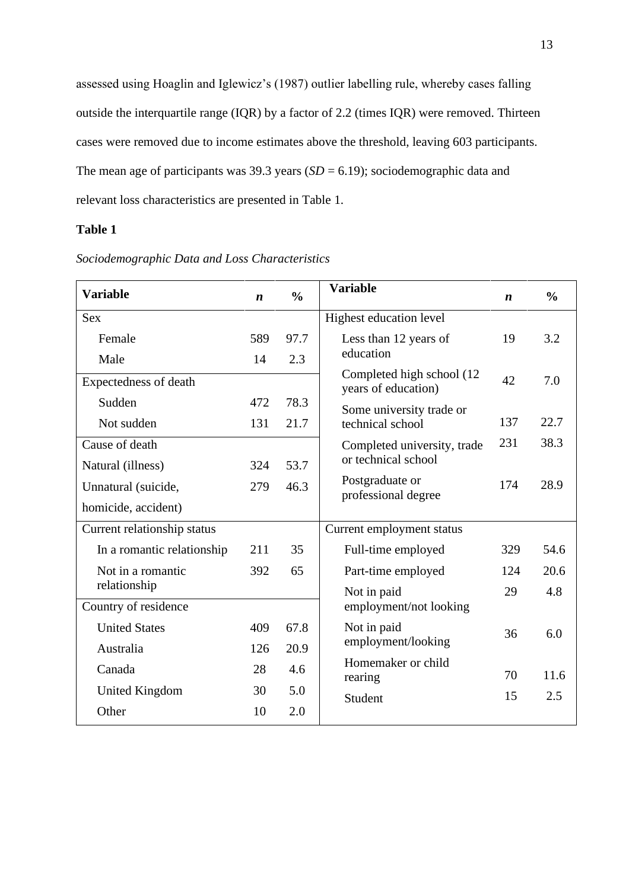assessed using Hoaglin and Iglewicz's (1987) outlier labelling rule, whereby cases falling outside the interquartile range (IQR) by a factor of 2.2 (times IQR) were removed. Thirteen cases were removed due to income estimates above the threshold, leaving 603 participants. The mean age of participants was 39.3 years  $(SD = 6.19)$ ; sociodemographic data and relevant loss characteristics are presented in Table 1.

# **Table 1**

| <b>Variable</b>             | $\boldsymbol{n}$ | $\frac{0}{0}$            | <b>Variable</b>                                   | $\boldsymbol{n}$ | $\frac{0}{0}$ |
|-----------------------------|------------------|--------------------------|---------------------------------------------------|------------------|---------------|
| <b>Sex</b>                  |                  |                          | Highest education level                           |                  |               |
| Female                      | 589              | 97.7                     | Less than 12 years of                             | 19               | 3.2           |
| Male                        | 14               | 2.3                      | education                                         |                  |               |
| Expectedness of death       |                  |                          | Completed high school (12)<br>years of education) | 42               | 7.0           |
| Sudden                      | 472              | 78.3                     | Some university trade or                          |                  |               |
| Not sudden                  | 131              | 21.7                     | technical school                                  | 137              | 22.7          |
| Cause of death              |                  |                          | Completed university, trade                       | 231              | 38.3          |
| Natural (illness)           | 324              | 53.7                     | or technical school                               |                  |               |
| Unnatural (suicide,         | 279              | 46.3                     | Postgraduate or<br>professional degree            | 174              | 28.9          |
| homicide, accident)         |                  |                          |                                                   |                  |               |
| Current relationship status |                  |                          | Current employment status                         |                  |               |
| In a romantic relationship  | 211              | 35                       | Full-time employed                                | 329              | 54.6          |
| Not in a romantic           | 392              | 65<br>Part-time employed |                                                   | 124              | 20.6          |
| relationship                |                  |                          | Not in paid                                       | 29               | 4.8           |
| Country of residence        |                  |                          | employment/not looking                            |                  |               |
| <b>United States</b>        | 409              | 67.8                     | Not in paid                                       | 36               | 6.0           |
| Australia                   | 126              | 20.9                     | employment/looking                                |                  |               |
| Canada                      | 28               | 4.6                      | Homemaker or child<br>rearing                     | 70               | 11.6          |
| <b>United Kingdom</b>       | 30               | 5.0                      | Student                                           | 15               | 2.5           |
| Other                       | 10               | 2.0                      |                                                   |                  |               |

*Sociodemographic Data and Loss Characteristics*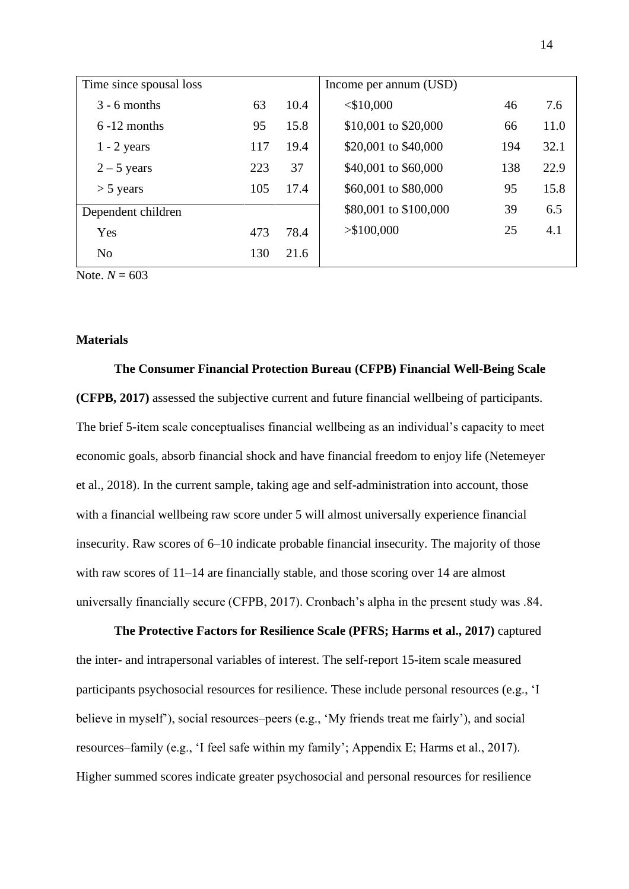| Time since spousal loss |     |      | Income per annum (USD) |     |      |
|-------------------------|-----|------|------------------------|-----|------|
| $3 - 6$ months          | 63  | 10.4 | $<$ \$10,000           | 46  | 7.6  |
| $6 - 12$ months         | 95  | 15.8 | \$10,001 to \$20,000   | 66  | 11.0 |
| $1 - 2$ years           | 117 | 19.4 | \$20,001 to \$40,000   | 194 | 32.1 |
| $2 - 5$ years           | 223 | 37   | \$40,001 to \$60,000   | 138 | 22.9 |
| $>$ 5 years             | 105 | 17.4 | \$60,001 to \$80,000   | 95  | 15.8 |
| Dependent children      |     |      | \$80,001 to \$100,000  | 39  | 6.5  |
| Yes                     | 473 | 78.4 | > \$100,000            | 25  | 4.1  |
| N <sub>o</sub>          | 130 | 21.6 |                        |     |      |

Note.  $N = 603$ 

# **Materials**

**The Consumer Financial Protection Bureau (CFPB) Financial Well-Being Scale (CFPB, 2017)** assessed the subjective current and future financial wellbeing of participants. The brief 5-item scale conceptualises financial wellbeing as an individual's capacity to meet economic goals, absorb financial shock and have financial freedom to enjoy life (Netemeyer et al., 2018). In the current sample, taking age and self-administration into account, those with a financial wellbeing raw score under 5 will almost universally experience financial insecurity. Raw scores of 6–10 indicate probable financial insecurity. The majority of those with raw scores of 11–14 are financially stable, and those scoring over 14 are almost universally financially secure (CFPB, 2017). Cronbach's alpha in the present study was .84.

**The Protective Factors for Resilience Scale (PFRS; Harms et al., 2017)** captured the inter- and intrapersonal variables of interest. The self-report 15-item scale measured participants psychosocial resources for resilience. These include personal resources (e.g., 'I believe in myself'), social resources–peers (e.g., 'My friends treat me fairly'), and social resources–family (e.g., 'I feel safe within my family'; Appendix E; Harms et al., 2017). Higher summed scores indicate greater psychosocial and personal resources for resilience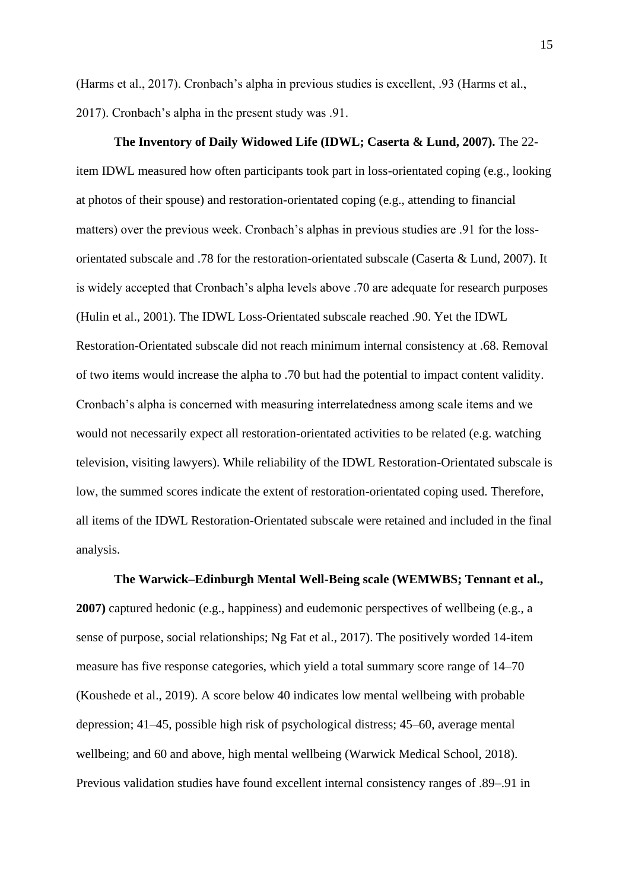(Harms et al., 2017). Cronbach's alpha in previous studies is excellent, .93 (Harms et al., 2017). Cronbach's alpha in the present study was .91.

**The Inventory of Daily Widowed Life (IDWL; Caserta & Lund, 2007).** The 22 item IDWL measured how often participants took part in loss-orientated coping (e.g., looking at photos of their spouse) and restoration-orientated coping (e.g., attending to financial matters) over the previous week. Cronbach's alphas in previous studies are .91 for the lossorientated subscale and .78 for the restoration-orientated subscale (Caserta & Lund, 2007). It is widely accepted that Cronbach's alpha levels above .70 are adequate for research purposes (Hulin et al., 2001). The IDWL Loss-Orientated subscale reached .90. Yet the IDWL Restoration-Orientated subscale did not reach minimum internal consistency at .68. Removal of two items would increase the alpha to .70 but had the potential to impact content validity. Cronbach's alpha is concerned with measuring interrelatedness among scale items and we would not necessarily expect all restoration-orientated activities to be related (e.g. watching television, visiting lawyers). While reliability of the IDWL Restoration-Orientated subscale is low, the summed scores indicate the extent of restoration-orientated coping used. Therefore, all items of the IDWL Restoration-Orientated subscale were retained and included in the final analysis.

## **The Warwick–Edinburgh Mental Well-Being scale (WEMWBS; Tennant et al.,**

**2007)** captured hedonic (e.g., happiness) and eudemonic perspectives of wellbeing (e.g., a sense of purpose, social relationships; Ng Fat et al., 2017). The positively worded 14-item measure has five response categories, which yield a total summary score range of 14–70 (Koushede et al., 2019). A score below 40 indicates low mental wellbeing with probable depression; 41–45, possible high risk of psychological distress; 45–60, average mental wellbeing; and 60 and above, high mental wellbeing (Warwick Medical School, 2018). Previous validation studies have found excellent internal consistency ranges of .89–.91 in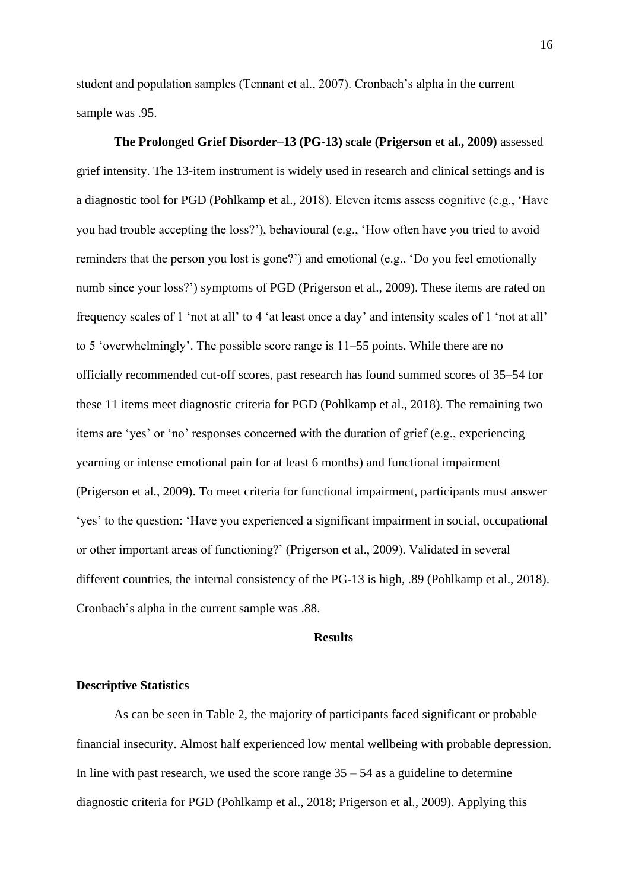student and population samples (Tennant et al., 2007). Cronbach's alpha in the current sample was .95.

**The Prolonged Grief Disorder–13 (PG-13) scale (Prigerson et al., 2009)** assessed grief intensity. The 13-item instrument is widely used in research and clinical settings and is a diagnostic tool for PGD (Pohlkamp et al., 2018). Eleven items assess cognitive (e.g., 'Have you had trouble accepting the loss?'), behavioural (e.g., 'How often have you tried to avoid reminders that the person you lost is gone?') and emotional (e.g., 'Do you feel emotionally numb since your loss?') symptoms of PGD (Prigerson et al., 2009). These items are rated on frequency scales of 1 'not at all' to 4 'at least once a day' and intensity scales of 1 'not at all' to 5 'overwhelmingly'. The possible score range is 11–55 points. While there are no officially recommended cut-off scores, past research has found summed scores of 35–54 for these 11 items meet diagnostic criteria for PGD (Pohlkamp et al., 2018). The remaining two items are 'yes' or 'no' responses concerned with the duration of grief (e.g., experiencing yearning or intense emotional pain for at least 6 months) and functional impairment (Prigerson et al., 2009). To meet criteria for functional impairment, participants must answer 'yes' to the question: 'Have you experienced a significant impairment in social, occupational or other important areas of functioning?' (Prigerson et al., 2009). Validated in several different countries, the internal consistency of the PG-13 is high, .89 (Pohlkamp et al., 2018). Cronbach's alpha in the current sample was .88.

# **Results**

## **Descriptive Statistics**

As can be seen in Table 2, the majority of participants faced significant or probable financial insecurity. Almost half experienced low mental wellbeing with probable depression. In line with past research, we used the score range  $35 - 54$  as a guideline to determine diagnostic criteria for PGD (Pohlkamp et al., 2018; Prigerson et al., 2009). Applying this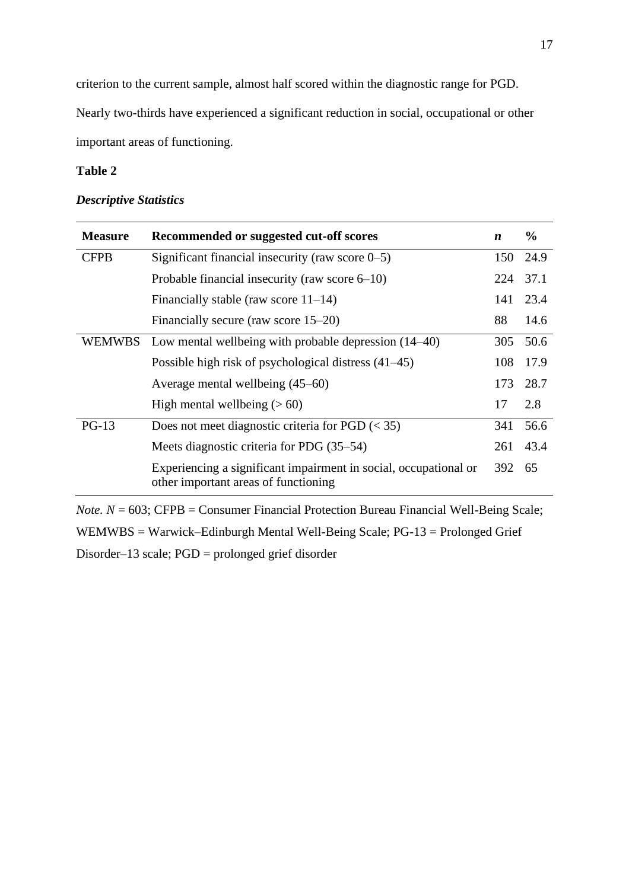criterion to the current sample, almost half scored within the diagnostic range for PGD.

Nearly two-thirds have experienced a significant reduction in social, occupational or other important areas of functioning.

# **Table 2**

# *Descriptive Statistics*

| <b>Measure</b> | Recommended or suggested cut-off scores                                                                  | $\boldsymbol{n}$ | $\frac{0}{0}$ |
|----------------|----------------------------------------------------------------------------------------------------------|------------------|---------------|
| <b>CFPB</b>    | Significant financial insecurity (raw score $0-5$ )                                                      | 150              | 24.9          |
|                | Probable financial insecurity (raw score $6-10$ )                                                        | 224              | 37.1          |
|                | Financially stable (raw score $11-14$ )                                                                  | 141              | 23.4          |
|                | Financially secure (raw score 15–20)                                                                     | 88               | 14.6          |
| <b>WEMWBS</b>  | Low mental wellbeing with probable depression $(14-40)$                                                  | 305              | 50.6          |
|                | Possible high risk of psychological distress $(41-45)$                                                   | 108              | 17.9          |
|                | Average mental wellbeing (45–60)                                                                         | 173              | 28.7          |
|                | High mental wellbeing $(> 60)$                                                                           | 17               | 2.8           |
| $PG-13$        | Does not meet diagnostic criteria for PGD $(< 35)$                                                       | 341              | 56.6          |
|                | Meets diagnostic criteria for PDG (35–54)                                                                | 261              | 43.4          |
|                | Experiencing a significant impairment in social, occupational or<br>other important areas of functioning | 392              | 65            |

*Note. N* = 603; CFPB = Consumer Financial Protection Bureau Financial Well-Being Scale; WEMWBS = Warwick–Edinburgh Mental Well-Being Scale; PG-13 = Prolonged Grief Disorder–13 scale; PGD = prolonged grief disorder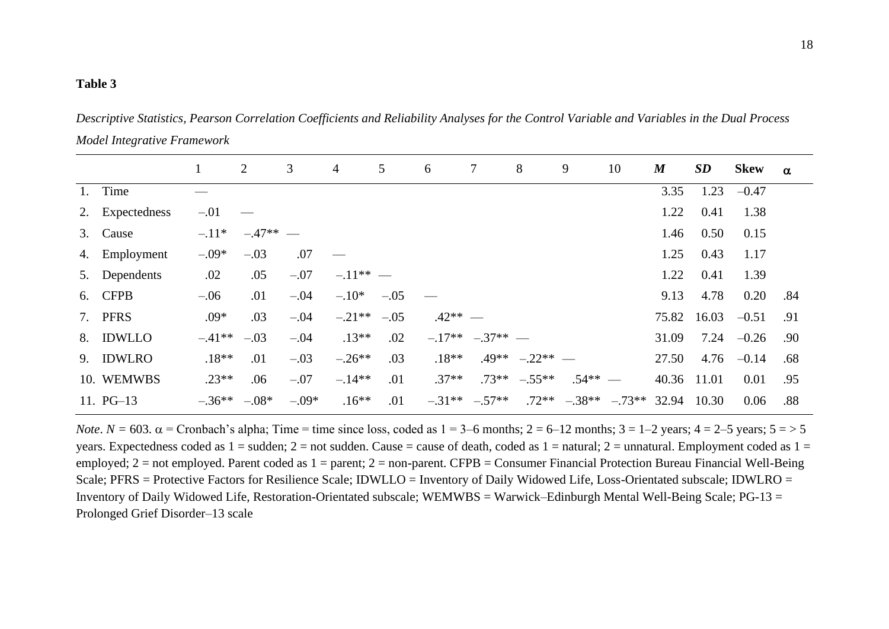# **Table 3**

*Descriptive Statistics, Pearson Correlation Coefficients and Reliability Analyses for the Control Variable and Variables in the Dual Process Model Integrative Framework*

|                 | $\mathbf{1}$     | 2          | 3       | $\overline{4}$  | 5      | 6         | $\tau$              | 8                   | 9                               | 10 | $\boldsymbol{M}$ | <b>SD</b> | <b>Skew</b>  | $\alpha$ |
|-----------------|------------------|------------|---------|-----------------|--------|-----------|---------------------|---------------------|---------------------------------|----|------------------|-----------|--------------|----------|
| 1. Time         |                  |            |         |                 |        |           |                     |                     |                                 |    | 3.35             | 1.23      | $-0.47$      |          |
| 2. Expectedness | $-.01$           |            |         |                 |        |           |                     |                     |                                 |    | 1.22             | 0.41      | 1.38         |          |
| 3. Cause        | $-.11*$          | $-.47**$ — |         |                 |        |           |                     |                     |                                 |    | 1.46             | 0.50      | 0.15         |          |
| 4. Employment   | $-.09*$          | $-.03$     | .07     |                 |        |           |                     |                     |                                 |    | 1.25             | 0.43      | 1.17         |          |
| 5. Dependents   | .02              | .05        | $-.07$  | $-11**$ —       |        |           |                     |                     |                                 |    | 1.22             | 0.41      | 1.39         |          |
| 6. CFPB         | $-.06$           | .01        | $-.04$  | $-.10*$         | $-.05$ |           |                     |                     |                                 |    | 9.13             | 4.78      | 0.20         | .84      |
| 7. PFRS         | $.09*$           | .03        | $-.04$  | $-.21**$ $-.05$ |        | $.42**$ — |                     |                     |                                 |    | 75.82            | 16.03     | $-0.51$      | .91      |
| 8. IDWLLO       | $-.41**$         | $-.03$     | $-.04$  | $.13**$         | .02    |           | $-.17**$ $-.37**$ — |                     |                                 |    | 31.09            |           | $7.24 -0.26$ | .90      |
| 9. IDWLRO       | $.18**$          | .01        | $-.03$  | $-.26**$        | .03    | $.18**$   |                     | $.49***$ $-.22**$ — |                                 |    | 27.50            | 4.76      | $-0.14$      | .68      |
| 10. WEMWBS      | $.23**$          | .06        | $-.07$  | $-.14**$        | .01    | $.37**$   |                     | $.73***$ $-.55**$   | $.54** -$                       |    | 40.36 11.01      |           | 0.01         | .95      |
| 11. $PG-13$     | $-.36**$ $-.08*$ |            | $-.09*$ | $.16**$         | .01    |           | $-.31***$ $-.57**$  |                     | $.72**$ $-.38**$ $-.73**$ 32.94 |    |                  | 10.30     | 0.06         | .88      |

*Note*.  $N = 603$ .  $\alpha$  = Cronbach's alpha; Time = time since loss, coded as  $1 = 3$ –6 months;  $2 = 6$ –12 months;  $3 = 1$ –2 years;  $4 = 2$ –5 years;  $5 = > 5$ years. Expectedness coded as  $1 =$  sudden;  $2 =$  not sudden. Cause  $=$  cause of death, coded as  $1 =$  natural;  $2 =$  unnatural. Employment coded as  $1 =$ employed;  $2 =$  not employed. Parent coded as  $1 =$  parent;  $2 =$  non-parent. CFPB = Consumer Financial Protection Bureau Financial Well-Being Scale; PFRS = Protective Factors for Resilience Scale; IDWLLO = Inventory of Daily Widowed Life, Loss-Orientated subscale; IDWLRO = Inventory of Daily Widowed Life, Restoration-Orientated subscale; WEMWBS = Warwick–Edinburgh Mental Well-Being Scale; PG-13 = Prolonged Grief Disorder–13 scale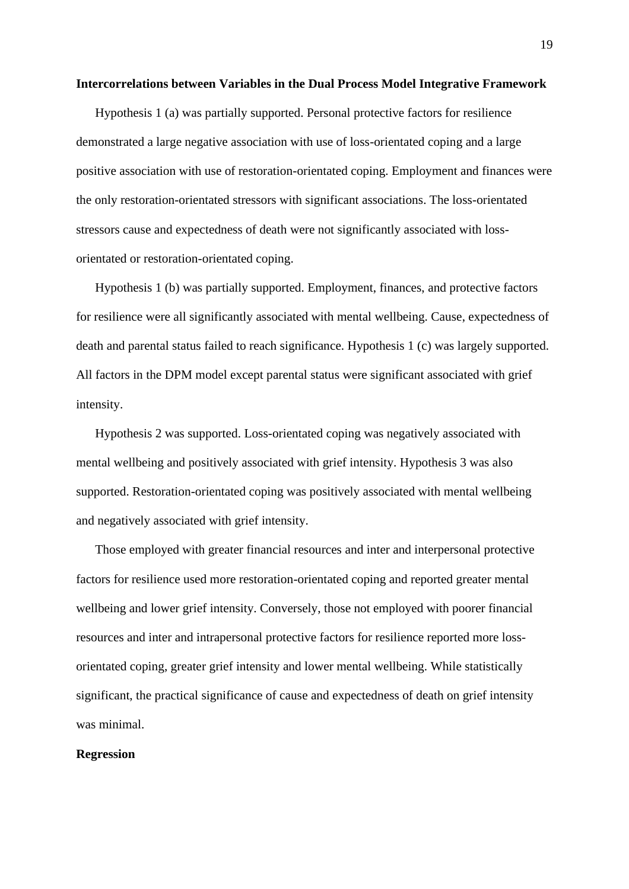## **Intercorrelations between Variables in the Dual Process Model Integrative Framework**

Hypothesis 1 (a) was partially supported. Personal protective factors for resilience demonstrated a large negative association with use of loss-orientated coping and a large positive association with use of restoration-orientated coping. Employment and finances were the only restoration-orientated stressors with significant associations. The loss-orientated stressors cause and expectedness of death were not significantly associated with lossorientated or restoration-orientated coping.

Hypothesis 1 (b) was partially supported. Employment, finances, and protective factors for resilience were all significantly associated with mental wellbeing. Cause, expectedness of death and parental status failed to reach significance. Hypothesis 1 (c) was largely supported. All factors in the DPM model except parental status were significant associated with grief intensity.

Hypothesis 2 was supported. Loss-orientated coping was negatively associated with mental wellbeing and positively associated with grief intensity. Hypothesis 3 was also supported. Restoration-orientated coping was positively associated with mental wellbeing and negatively associated with grief intensity.

Those employed with greater financial resources and inter and interpersonal protective factors for resilience used more restoration-orientated coping and reported greater mental wellbeing and lower grief intensity. Conversely, those not employed with poorer financial resources and inter and intrapersonal protective factors for resilience reported more lossorientated coping, greater grief intensity and lower mental wellbeing. While statistically significant, the practical significance of cause and expectedness of death on grief intensity was minimal.

## **Regression**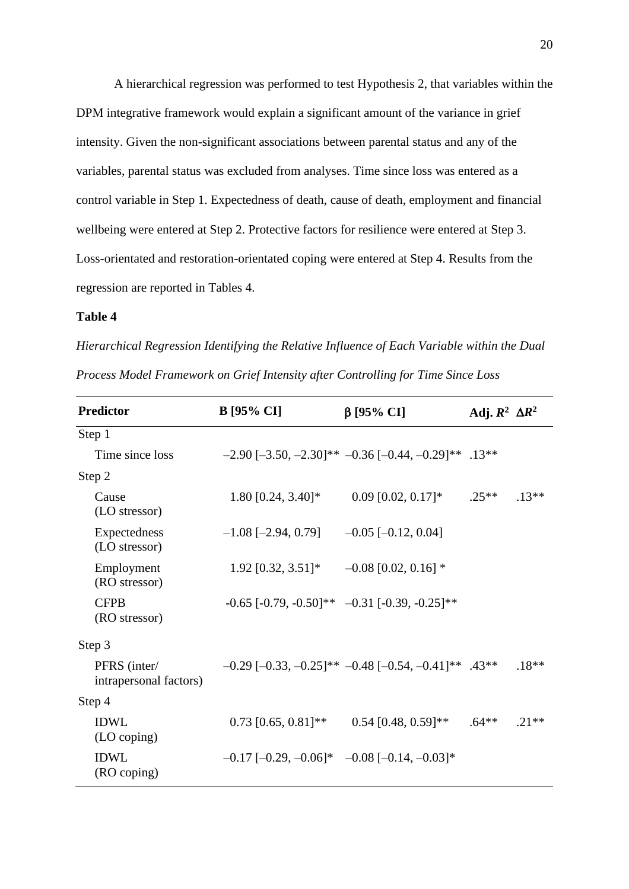A hierarchical regression was performed to test Hypothesis 2, that variables within the DPM integrative framework would explain a significant amount of the variance in grief intensity. Given the non-significant associations between parental status and any of the variables, parental status was excluded from analyses. Time since loss was entered as a control variable in Step 1. Expectedness of death, cause of death, employment and financial wellbeing were entered at Step 2. Protective factors for resilience were entered at Step 3. Loss-orientated and restoration-orientated coping were entered at Step 4. Results from the regression are reported in Tables 4.

# **Table 4**

*Hierarchical Regression Identifying the Relative Influence of Each Variable within the Dual Process Model Framework on Grief Intensity after Controlling for Time Since Loss*

| <b>Predictor</b>                       | <b>B</b> [95% CI]                                     | $\beta$ [95% CI]                                                      | Adj. $R^2 \Delta R^2$ |         |
|----------------------------------------|-------------------------------------------------------|-----------------------------------------------------------------------|-----------------------|---------|
| Step 1                                 |                                                       |                                                                       |                       |         |
| Time since loss                        |                                                       | $-2.90$ [ $-3.50$ , $-2.30$ ]** $-0.36$ [ $-0.44$ , $-0.29$ ]** .13** |                       |         |
| Step 2                                 |                                                       |                                                                       |                       |         |
| Cause<br>(LO stressor)                 | $1.80$ [0.24, 3.40]*                                  | $0.09$ [0.02, 0.17]*                                                  | $.25**$               | $.13**$ |
| Expectedness<br>(LO stressor)          | $-1.08$ [ $-2.94$ , 0.79]                             | $-0.05$ [ $-0.12$ , 0.04]                                             |                       |         |
| Employment<br>(RO stressor)            | $1.92$ [0.32, 3.51]*                                  | $-0.08$ [0.02, 0.16] $*$                                              |                       |         |
| <b>CFPB</b><br>(RO stressor)           |                                                       | $-0.65$ [ $-0.79, -0.50$ ]** $-0.31$ [ $-0.39, -0.25$ ]**             |                       |         |
| Step 3                                 |                                                       |                                                                       |                       |         |
| PFRS (inter/<br>intrapersonal factors) |                                                       | $-0.29$ $[-0.33, -0.25]$ ** $-0.48$ $[-0.54, -0.41]$ ** .43**         |                       | $.18**$ |
| Step 4                                 |                                                       |                                                                       |                       |         |
| <b>IDWL</b><br>(LO coping)             | $0.73$ [0.65, 0.81]**                                 | $0.54$ [0.48, 0.59]**                                                 | $.64**$               | $.21**$ |
| <b>IDWL</b><br>(RO coping)             | $-0.17$ $[-0.29, -0.06]$ * $-0.08$ $[-0.14, -0.03]$ * |                                                                       |                       |         |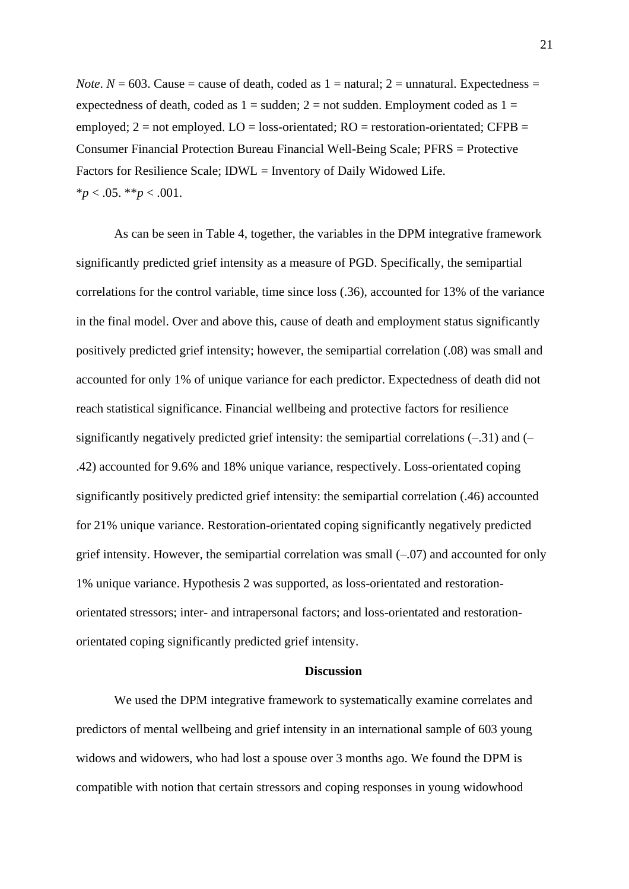*Note*.  $N = 603$ . Cause = cause of death, coded as  $1 =$  natural;  $2 =$  unnatural. Expectedness = expectedness of death, coded as  $1 =$  sudden;  $2 =$  not sudden. Employment coded as  $1 =$ employed;  $2 = not$  employed.  $LO =$  loss-orientated;  $RO =$  restoration-orientated;  $CFPB =$ Consumer Financial Protection Bureau Financial Well-Being Scale; PFRS = Protective Factors for Resilience Scale; IDWL = Inventory of Daily Widowed Life.  $*_{p}$  < .05.  $*_{p}$  < .001.

As can be seen in Table 4, together, the variables in the DPM integrative framework significantly predicted grief intensity as a measure of PGD. Specifically, the semipartial correlations for the control variable, time since loss (.36), accounted for 13% of the variance in the final model. Over and above this, cause of death and employment status significantly positively predicted grief intensity; however, the semipartial correlation (.08) was small and accounted for only 1% of unique variance for each predictor. Expectedness of death did not reach statistical significance. Financial wellbeing and protective factors for resilience significantly negatively predicted grief intensity: the semipartial correlations  $(-31)$  and  $(-$ .42) accounted for 9.6% and 18% unique variance, respectively. Loss-orientated coping significantly positively predicted grief intensity: the semipartial correlation (.46) accounted for 21% unique variance. Restoration-orientated coping significantly negatively predicted grief intensity. However, the semipartial correlation was small  $(-0.07)$  and accounted for only 1% unique variance. Hypothesis 2 was supported, as loss-orientated and restorationorientated stressors; inter- and intrapersonal factors; and loss-orientated and restorationorientated coping significantly predicted grief intensity.

# **Discussion**

We used the DPM integrative framework to systematically examine correlates and predictors of mental wellbeing and grief intensity in an international sample of 603 young widows and widowers, who had lost a spouse over 3 months ago. We found the DPM is compatible with notion that certain stressors and coping responses in young widowhood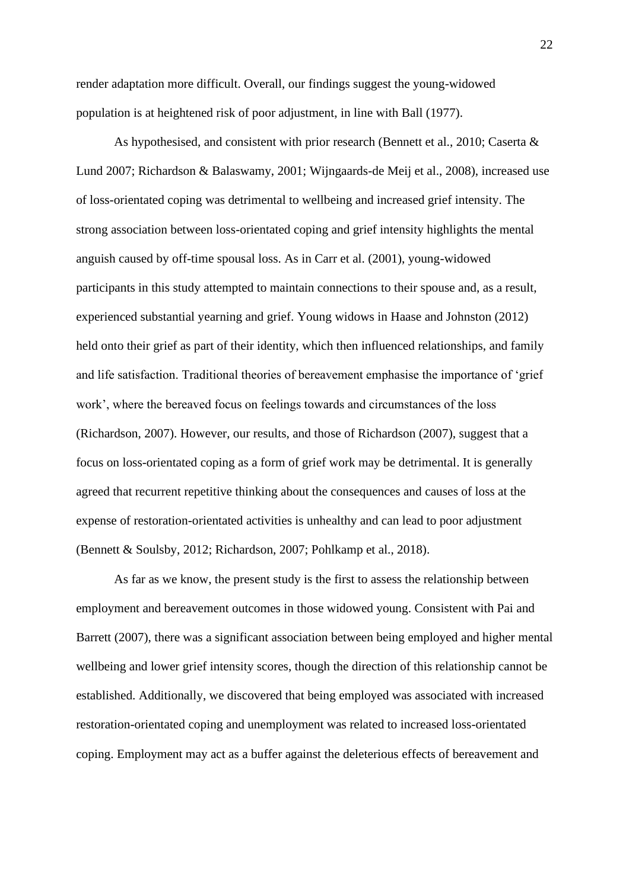render adaptation more difficult. Overall, our findings suggest the young-widowed population is at heightened risk of poor adjustment, in line with Ball (1977).

As hypothesised, and consistent with prior research (Bennett et al., 2010; Caserta & Lund 2007; Richardson & Balaswamy, 2001; Wijngaards-de Meij et al., 2008), increased use of loss-orientated coping was detrimental to wellbeing and increased grief intensity. The strong association between loss-orientated coping and grief intensity highlights the mental anguish caused by off-time spousal loss. As in Carr et al. (2001), young-widowed participants in this study attempted to maintain connections to their spouse and, as a result, experienced substantial yearning and grief. Young widows in Haase and Johnston (2012) held onto their grief as part of their identity, which then influenced relationships, and family and life satisfaction. Traditional theories of bereavement emphasise the importance of 'grief work', where the bereaved focus on feelings towards and circumstances of the loss (Richardson, 2007). However, our results, and those of Richardson (2007), suggest that a focus on loss-orientated coping as a form of grief work may be detrimental. It is generally agreed that recurrent repetitive thinking about the consequences and causes of loss at the expense of restoration-orientated activities is unhealthy and can lead to poor adjustment (Bennett & Soulsby, 2012; Richardson, 2007; Pohlkamp et al., 2018).

As far as we know, the present study is the first to assess the relationship between employment and bereavement outcomes in those widowed young. Consistent with Pai and Barrett (2007), there was a significant association between being employed and higher mental wellbeing and lower grief intensity scores, though the direction of this relationship cannot be established. Additionally, we discovered that being employed was associated with increased restoration-orientated coping and unemployment was related to increased loss-orientated coping. Employment may act as a buffer against the deleterious effects of bereavement and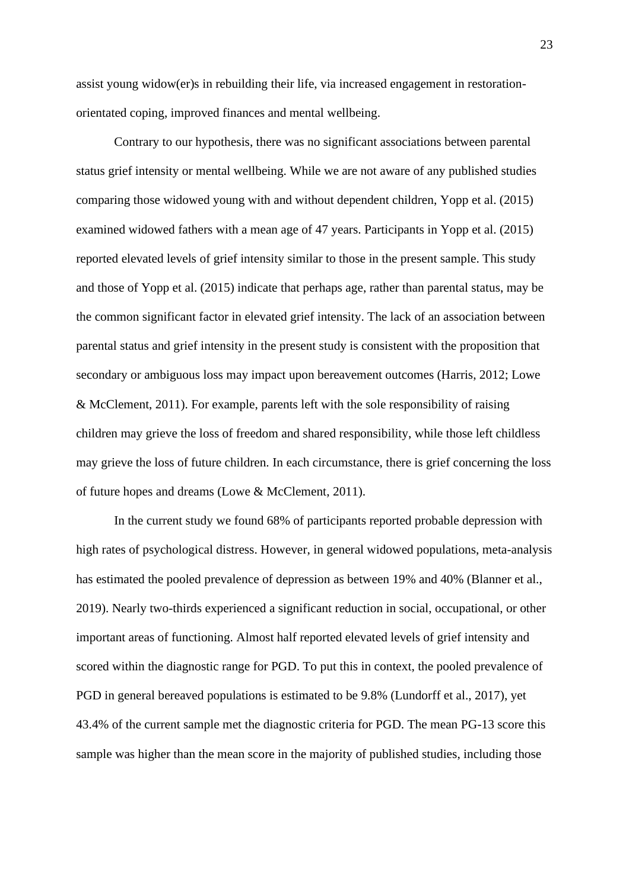assist young widow(er)s in rebuilding their life, via increased engagement in restorationorientated coping, improved finances and mental wellbeing.

Contrary to our hypothesis, there was no significant associations between parental status grief intensity or mental wellbeing. While we are not aware of any published studies comparing those widowed young with and without dependent children, Yopp et al. (2015) examined widowed fathers with a mean age of 47 years. Participants in Yopp et al. (2015) reported elevated levels of grief intensity similar to those in the present sample. This study and those of Yopp et al. (2015) indicate that perhaps age, rather than parental status, may be the common significant factor in elevated grief intensity. The lack of an association between parental status and grief intensity in the present study is consistent with the proposition that secondary or ambiguous loss may impact upon bereavement outcomes (Harris, 2012; Lowe & McClement, 2011). For example, parents left with the sole responsibility of raising children may grieve the loss of freedom and shared responsibility, while those left childless may grieve the loss of future children. In each circumstance, there is grief concerning the loss of future hopes and dreams (Lowe & McClement, 2011).

In the current study we found 68% of participants reported probable depression with high rates of psychological distress. However, in general widowed populations, meta-analysis has estimated the pooled prevalence of depression as between 19% and 40% (Blanner et al., 2019). Nearly two-thirds experienced a significant reduction in social, occupational, or other important areas of functioning. Almost half reported elevated levels of grief intensity and scored within the diagnostic range for PGD. To put this in context, the pooled prevalence of PGD in general bereaved populations is estimated to be 9.8% (Lundorff et al., 2017), yet 43.4% of the current sample met the diagnostic criteria for PGD. The mean PG-13 score this sample was higher than the mean score in the majority of published studies, including those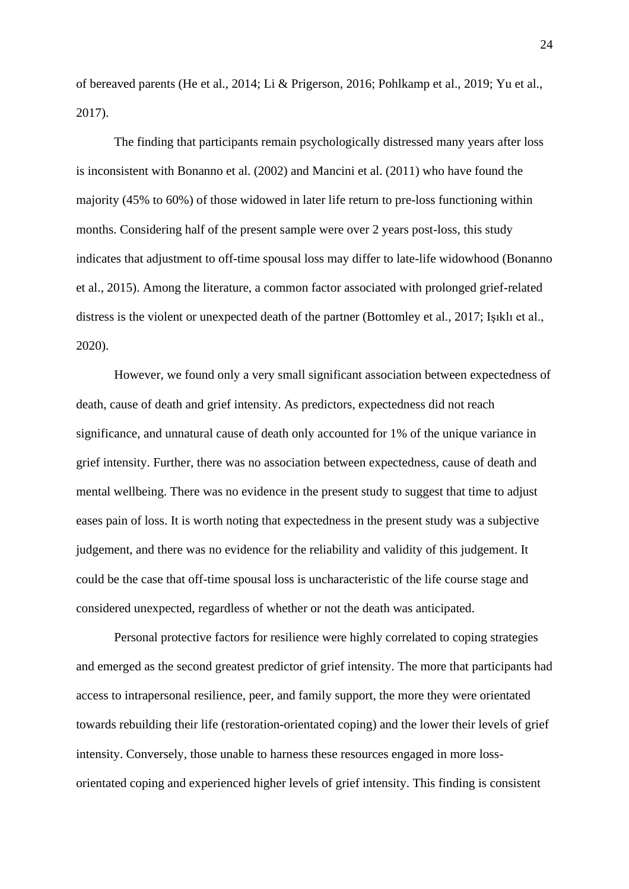of bereaved parents (He et al., 2014; Li & Prigerson, 2016; Pohlkamp et al., 2019; Yu et al., 2017).

The finding that participants remain psychologically distressed many years after loss is inconsistent with Bonanno et al. (2002) and Mancini et al. (2011) who have found the majority (45% to 60%) of those widowed in later life return to pre-loss functioning within months. Considering half of the present sample were over 2 years post-loss, this study indicates that adjustment to off-time spousal loss may differ to late-life widowhood (Bonanno et al., 2015). Among the literature, a common factor associated with prolonged grief-related distress is the violent or unexpected death of the partner (Bottomley et al., 2017; Işıklı et al., 2020).

However, we found only a very small significant association between expectedness of death, cause of death and grief intensity. As predictors, expectedness did not reach significance, and unnatural cause of death only accounted for 1% of the unique variance in grief intensity. Further, there was no association between expectedness, cause of death and mental wellbeing. There was no evidence in the present study to suggest that time to adjust eases pain of loss. It is worth noting that expectedness in the present study was a subjective judgement, and there was no evidence for the reliability and validity of this judgement. It could be the case that off-time spousal loss is uncharacteristic of the life course stage and considered unexpected, regardless of whether or not the death was anticipated.

Personal protective factors for resilience were highly correlated to coping strategies and emerged as the second greatest predictor of grief intensity. The more that participants had access to intrapersonal resilience, peer, and family support, the more they were orientated towards rebuilding their life (restoration-orientated coping) and the lower their levels of grief intensity. Conversely, those unable to harness these resources engaged in more lossorientated coping and experienced higher levels of grief intensity. This finding is consistent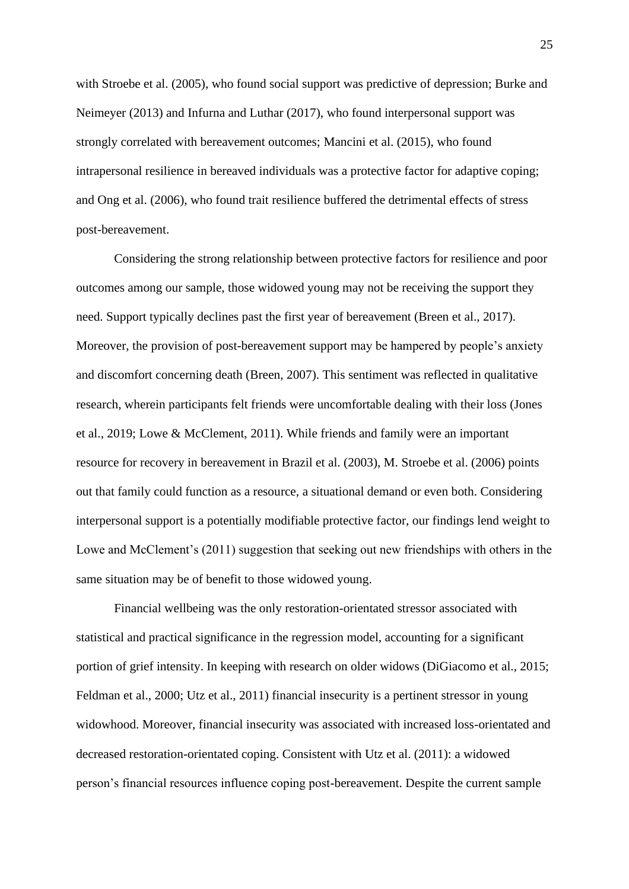with Stroebe et al. (2005), who found social support was predictive of depression; Burke and Neimeyer (2013) and Infurna and Luthar (2017), who found interpersonal support was strongly correlated with bereavement outcomes; Mancini et al. (2015), who found intrapersonal resilience in bereaved individuals was a protective factor for adaptive coping; and Ong et al. (2006), who found trait resilience buffered the detrimental effects of stress post-bereavement.

Considering the strong relationship between protective factors for resilience and poor outcomes among our sample, those widowed young may not be receiving the support they need. Support typically declines past the first year of bereavement (Breen et al., 2017). Moreover, the provision of post-bereavement support may be hampered by people's anxiety and discomfort concerning death (Breen, 2007). This sentiment was reflected in qualitative research, wherein participants felt friends were uncomfortable dealing with their loss (Jones et al., 2019; Lowe & McClement, 2011). While friends and family were an important resource for recovery in bereavement in Brazil et al. (2003), M. Stroebe et al. (2006) points out that family could function as a resource, a situational demand or even both. Considering interpersonal support is a potentially modifiable protective factor, our findings lend weight to Lowe and McClement's (2011) suggestion that seeking out new friendships with others in the same situation may be of benefit to those widowed young.

Financial wellbeing was the only restoration-orientated stressor associated with statistical and practical significance in the regression model, accounting for a significant portion of grief intensity. In keeping with research on older widows (DiGiacomo et al., 2015; Feldman et al., 2000; Utz et al., 2011) financial insecurity is a pertinent stressor in young widowhood. Moreover, financial insecurity was associated with increased loss-orientated and decreased restoration-orientated coping. Consistent with Utz et al. (2011): a widowed person's financial resources influence coping post-bereavement. Despite the current sample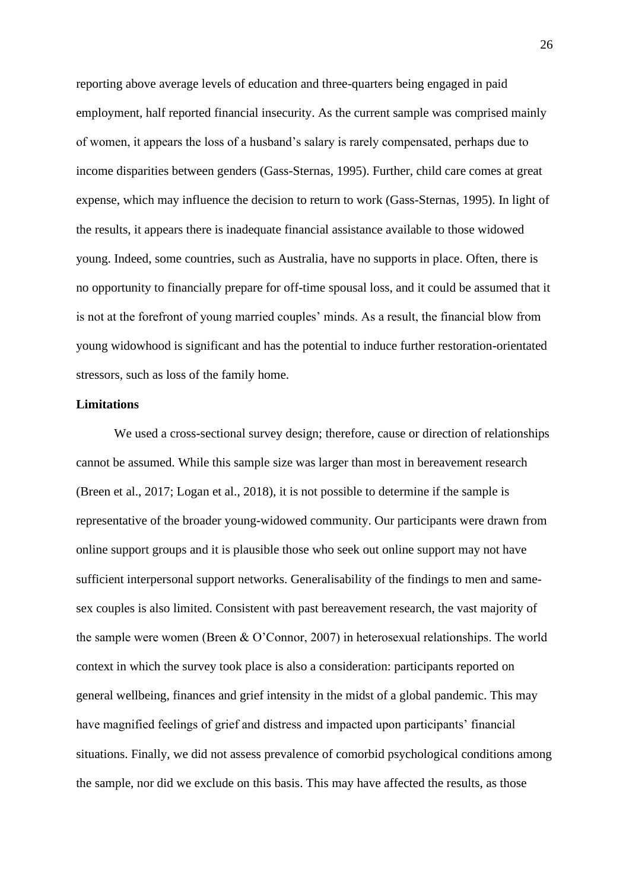reporting above average levels of education and three-quarters being engaged in paid employment, half reported financial insecurity. As the current sample was comprised mainly of women, it appears the loss of a husband's salary is rarely compensated, perhaps due to income disparities between genders (Gass-Sternas, 1995). Further, child care comes at great expense, which may influence the decision to return to work (Gass-Sternas, 1995). In light of the results, it appears there is inadequate financial assistance available to those widowed young. Indeed, some countries, such as Australia, have no supports in place. Often, there is no opportunity to financially prepare for off-time spousal loss, and it could be assumed that it is not at the forefront of young married couples' minds. As a result, the financial blow from young widowhood is significant and has the potential to induce further restoration-orientated stressors, such as loss of the family home.

# **Limitations**

We used a cross-sectional survey design; therefore, cause or direction of relationships cannot be assumed. While this sample size was larger than most in bereavement research (Breen et al., 2017; Logan et al., 2018), it is not possible to determine if the sample is representative of the broader young-widowed community. Our participants were drawn from online support groups and it is plausible those who seek out online support may not have sufficient interpersonal support networks. Generalisability of the findings to men and samesex couples is also limited. Consistent with past bereavement research, the vast majority of the sample were women (Breen & O'Connor, 2007) in heterosexual relationships. The world context in which the survey took place is also a consideration: participants reported on general wellbeing, finances and grief intensity in the midst of a global pandemic. This may have magnified feelings of grief and distress and impacted upon participants' financial situations. Finally, we did not assess prevalence of comorbid psychological conditions among the sample, nor did we exclude on this basis. This may have affected the results, as those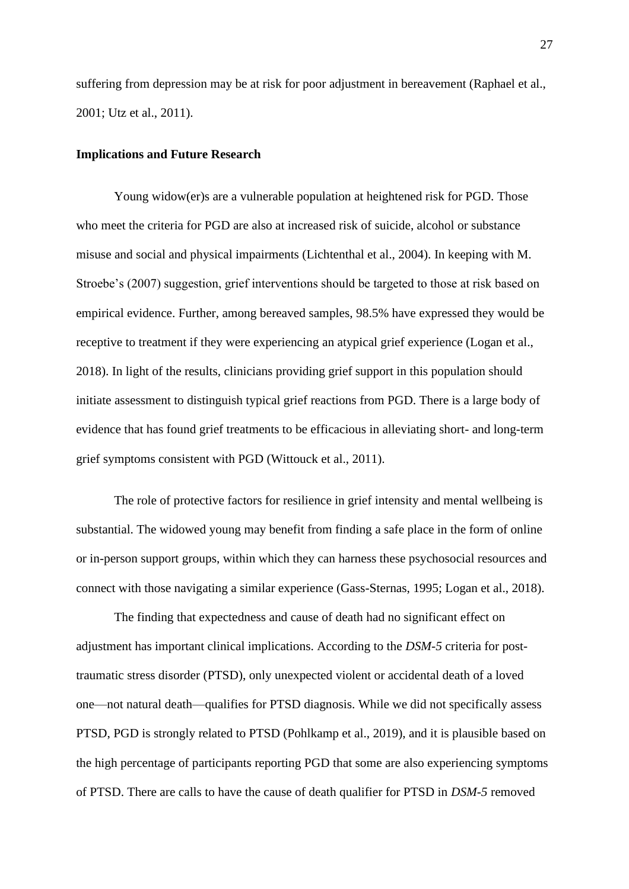suffering from depression may be at risk for poor adjustment in bereavement (Raphael et al., 2001; Utz et al., 2011).

## **Implications and Future Research**

Young widow(er)s are a vulnerable population at heightened risk for PGD. Those who meet the criteria for PGD are also at increased risk of suicide, alcohol or substance misuse and social and physical impairments (Lichtenthal et al., 2004). In keeping with M. Stroebe's (2007) suggestion, grief interventions should be targeted to those at risk based on empirical evidence. Further, among bereaved samples, 98.5% have expressed they would be receptive to treatment if they were experiencing an atypical grief experience (Logan et al., 2018). In light of the results, clinicians providing grief support in this population should initiate assessment to distinguish typical grief reactions from PGD. There is a large body of evidence that has found grief treatments to be efficacious in alleviating short- and long-term grief symptoms consistent with PGD (Wittouck et al., 2011).

The role of protective factors for resilience in grief intensity and mental wellbeing is substantial. The widowed young may benefit from finding a safe place in the form of online or in-person support groups, within which they can harness these psychosocial resources and connect with those navigating a similar experience (Gass-Sternas, 1995; Logan et al., 2018).

The finding that expectedness and cause of death had no significant effect on adjustment has important clinical implications. According to the *DSM-5* criteria for posttraumatic stress disorder (PTSD), only unexpected violent or accidental death of a loved one—not natural death—qualifies for PTSD diagnosis. While we did not specifically assess PTSD, PGD is strongly related to PTSD (Pohlkamp et al., 2019), and it is plausible based on the high percentage of participants reporting PGD that some are also experiencing symptoms of PTSD. There are calls to have the cause of death qualifier for PTSD in *DSM-5* removed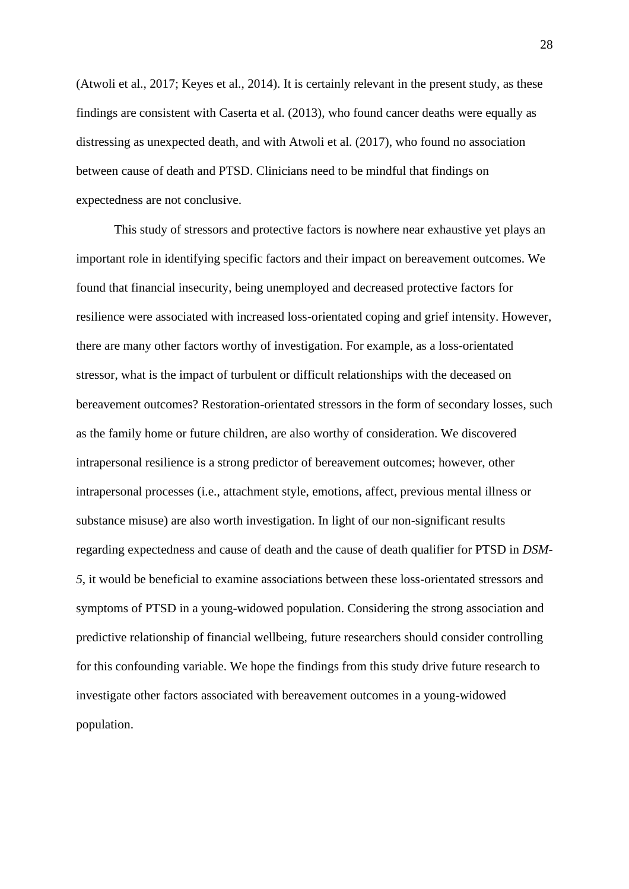(Atwoli et al., 2017; Keyes et al., 2014). It is certainly relevant in the present study, as these findings are consistent with Caserta et al. (2013), who found cancer deaths were equally as distressing as unexpected death, and with Atwoli et al. (2017), who found no association between cause of death and PTSD. Clinicians need to be mindful that findings on expectedness are not conclusive.

This study of stressors and protective factors is nowhere near exhaustive yet plays an important role in identifying specific factors and their impact on bereavement outcomes. We found that financial insecurity, being unemployed and decreased protective factors for resilience were associated with increased loss-orientated coping and grief intensity. However, there are many other factors worthy of investigation. For example, as a loss-orientated stressor, what is the impact of turbulent or difficult relationships with the deceased on bereavement outcomes? Restoration-orientated stressors in the form of secondary losses, such as the family home or future children, are also worthy of consideration. We discovered intrapersonal resilience is a strong predictor of bereavement outcomes; however, other intrapersonal processes (i.e., attachment style, emotions, affect, previous mental illness or substance misuse) are also worth investigation. In light of our non-significant results regarding expectedness and cause of death and the cause of death qualifier for PTSD in *DSM-5*, it would be beneficial to examine associations between these loss-orientated stressors and symptoms of PTSD in a young-widowed population. Considering the strong association and predictive relationship of financial wellbeing, future researchers should consider controlling for this confounding variable. We hope the findings from this study drive future research to investigate other factors associated with bereavement outcomes in a young-widowed population.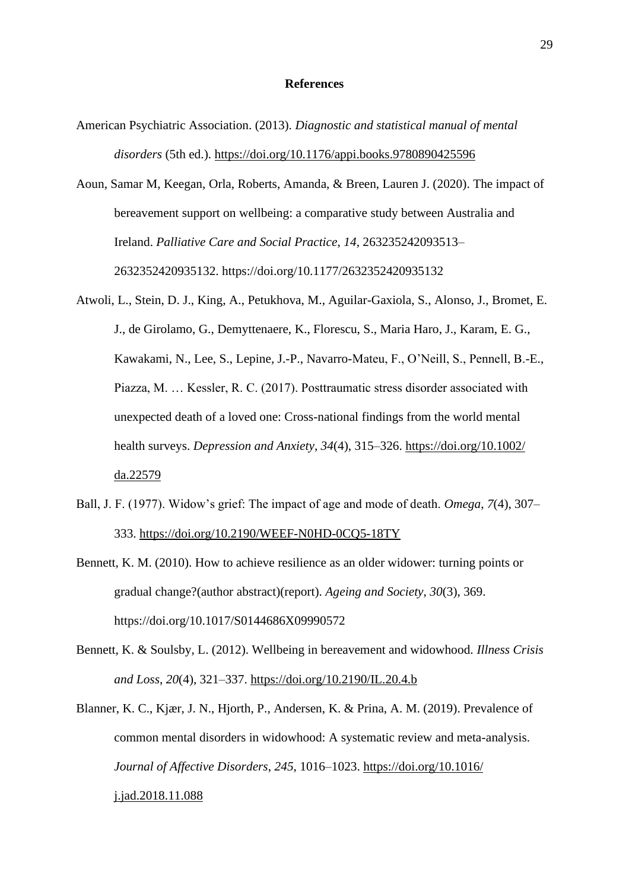## **References**

- American Psychiatric Association. (2013). *Diagnostic and statistical manual of mental disorders* (5th ed.).<https://doi.org/10.1176/appi.books.9780890425596>
- Aoun, Samar M, Keegan, Orla, Roberts, Amanda, & Breen, Lauren J. (2020). The impact of bereavement support on wellbeing: a comparative study between Australia and Ireland. *Palliative Care and Social Practice*, *14*, 263235242093513– 2632352420935132. https://doi.org/10.1177/2632352420935132
- Atwoli, L., Stein, D. J., King, A., Petukhova, M., Aguilar-Gaxiola, S., Alonso, J., Bromet, E. J., de Girolamo, G., Demyttenaere, K., Florescu, S., Maria Haro, J., Karam, E. G., Kawakami, N., Lee, S., Lepine, J.-P., Navarro-Mateu, F., O'Neill, S., Pennell, B.-E., Piazza, M. … Kessler, R. C. (2017). Posttraumatic stress disorder associated with unexpected death of a loved one: Cross-national findings from the world mental health surveys. *Depression and Anxiety*, *34*(4), 315–326. [https://doi.org/10.1002/](https://doi.org/10.1002/da.22579) [da.22579](https://doi.org/10.1002/da.22579)
- Ball, J. F. (1977). Widow's grief: The impact of age and mode of death. *Omega*, *7*(4), 307– 333.<https://doi.org/10.2190/WEEF-N0HD-0CQ5-18TY>
- Bennett, K. M. (2010). How to achieve resilience as an older widower: turning points or gradual change?(author abstract)(report). *Ageing and Society*, *30*(3), 369. https://doi.org/10.1017/S0144686X09990572
- Bennett, K. & Soulsby, L. (2012). Wellbeing in bereavement and widowhood. *Illness Crisis and Loss*, *20*(4), 321–337.<https://doi.org/10.2190/IL.20.4.b>
- Blanner, K. C., Kjær, J. N., Hjorth, P., Andersen, K. & Prina, A. M. (2019). Prevalence of common mental disorders in widowhood: A systematic review and meta-analysis. *Journal of Affective Disorders*, *245*, 1016–1023. [https://doi.org/10.1016/](https://doi.org/10.1016/j.jad.2018.11.088) [j.jad.2018.11.088](https://doi.org/10.1016/j.jad.2018.11.088)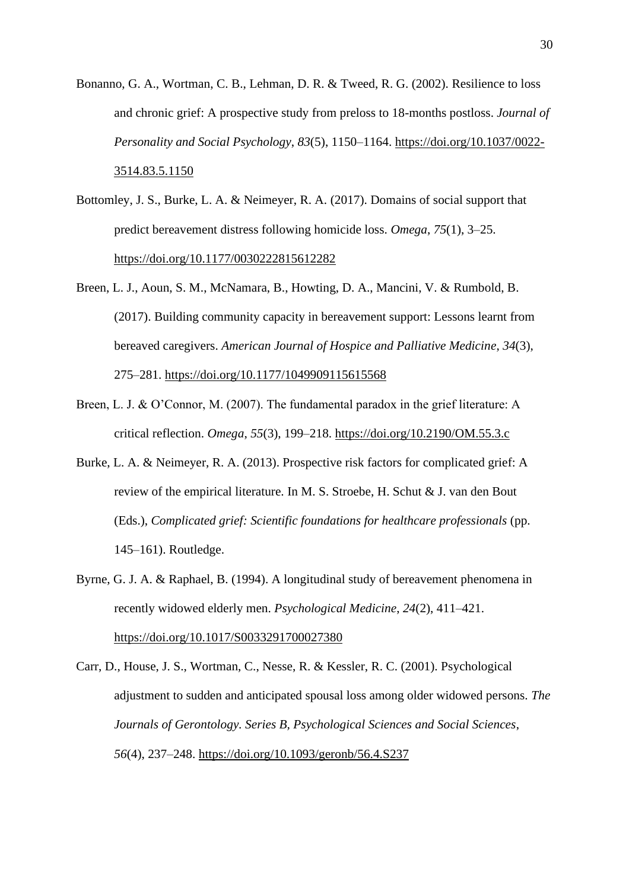Bonanno, G. A., Wortman, C. B., Lehman, D. R. & Tweed, R. G. (2002). Resilience to loss and chronic grief: A prospective study from preloss to 18-months postloss. *Journal of Personality and Social Psychology*, *83*(5), 1150–1164. [https://doi.org/10.1037/0022-](https://doi.org/10.1037/0022-3514.83.5.1150) [3514.83.5.1150](https://doi.org/10.1037/0022-3514.83.5.1150)

- Bottomley, J. S., Burke, L. A. & Neimeyer, R. A. (2017). Domains of social support that predict bereavement distress following homicide loss. *Omega*, *75*(1), 3–25. <https://doi.org/10.1177/0030222815612282>
- Breen, L. J., Aoun, S. M., McNamara, B., Howting, D. A., Mancini, V. & Rumbold, B. (2017). Building community capacity in bereavement support: Lessons learnt from bereaved caregivers. *American Journal of Hospice and Palliative Medicine*, *34*(3), 275–281.<https://doi.org/10.1177/1049909115615568>
- Breen, L. J. & O'Connor, M. (2007). The fundamental paradox in the grief literature: A critical reflection. *Omega*, *55*(3), 199–218.<https://doi.org/10.2190/OM.55.3.c>
- Burke, L. A. & Neimeyer, R. A. (2013). Prospective risk factors for complicated grief: A review of the empirical literature. In M. S. Stroebe, H. Schut & J. van den Bout (Eds.), *Complicated grief: Scientific foundations for healthcare professionals* (pp. 145–161). Routledge.
- Byrne, G. J. A. & Raphael, B. (1994). A longitudinal study of bereavement phenomena in recently widowed elderly men. *Psychological Medicine*, *24*(2), 411–421. <https://doi.org/10.1017/S0033291700027380>
- Carr, D., House, J. S., Wortman, C., Nesse, R. & Kessler, R. C. (2001). Psychological adjustment to sudden and anticipated spousal loss among older widowed persons. *The Journals of Gerontology. Series B, Psychological Sciences and Social Sciences*, *56*(4), 237–248.<https://doi.org/10.1093/geronb/56.4.S237>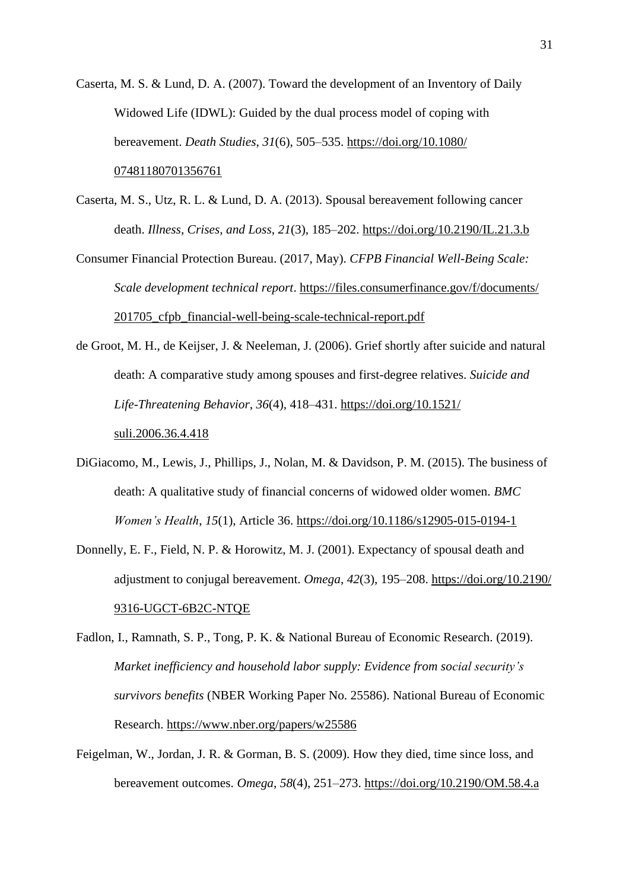- Caserta, M. S. & Lund, D. A. (2007). Toward the development of an Inventory of Daily Widowed Life (IDWL): Guided by the dual process model of coping with bereavement. *Death Studies*, *31*(6), 505–535. [https://doi.org/10.1080/](https://doi.org/10.1080/07481180701356761) [07481180701356761](https://doi.org/10.1080/07481180701356761)
- Caserta, M. S., Utz, R. L. & Lund, D. A. (2013). Spousal bereavement following cancer death. *Illness, Crises, and Loss*, *21*(3), 185–202.<https://doi.org/10.2190/IL.21.3.b>
- Consumer Financial Protection Bureau. (2017, May). *CFPB Financial Well-Being Scale: Scale development technical report*. [https://files.consumerfinance.gov/f/documents/](https://files.consumerfinance.gov/f/documents/201705_cfpb_financial-well-being-) [201705\\_cfpb\\_financial-well-being-scale-technical-report.pdf](https://files.consumerfinance.gov/f/documents/201705_cfpb_financial-well-being-)
- de Groot, M. H., de Keijser, J. & Neeleman, J. (2006). Grief shortly after suicide and natural death: A comparative study among spouses and first-degree relatives. *Suicide and Life-Threatening Behavior*, *36*(4), 418–431. [https://doi.org/10.1521/](https://doi.org/10.1521/suli.2006.36.4.418) [suli.2006.36.4.418](https://doi.org/10.1521/suli.2006.36.4.418)
- DiGiacomo, M., Lewis, J., Phillips, J., Nolan, M. & Davidson, P. M. (2015). The business of death: A qualitative study of financial concerns of widowed older women. *BMC Women's Health*, *15*(1), Article 36.<https://doi.org/10.1186/s12905-015-0194-1>
- Donnelly, E. F., Field, N. P. & Horowitz, M. J. (2001). Expectancy of spousal death and adjustment to conjugal bereavement. *Omega*, *42*(3), 195–208. [https://doi.org/10.2190/](https://doi.org/10.2190/9316-UGCT-6B2C-NTQE) [9316-UGCT-6B2C-NTQE](https://doi.org/10.2190/9316-UGCT-6B2C-NTQE)
- Fadlon, I., Ramnath, S. P., Tong, P. K. & National Bureau of Economic Research. (2019). *Market inefficiency and household labor supply: Evidence from social security's survivors benefits* (NBER Working Paper No. 25586). National Bureau of Economic Research.<https://www.nber.org/papers/w25586>
- Feigelman, W., Jordan, J. R. & Gorman, B. S. (2009). How they died, time since loss, and bereavement outcomes. *Omega*, *58*(4), 251–273.<https://doi.org/10.2190/OM.58.4.a>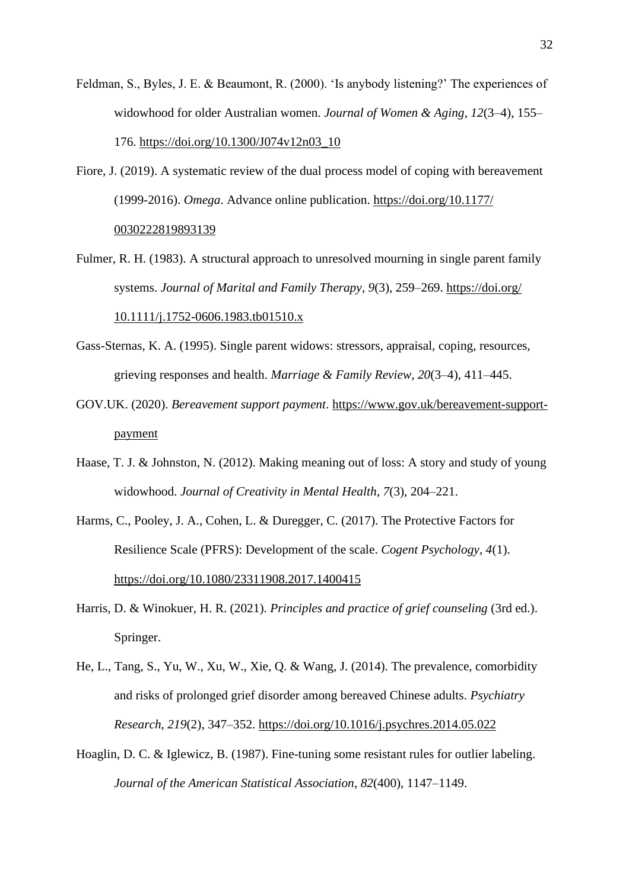- Feldman, S., Byles, J. E. & Beaumont, R. (2000). 'Is anybody listening?' The experiences of widowhood for older Australian women. *Journal of Women & Aging*, *12*(3–4), 155– 176. [https://doi.org/10.1300/J074v12n03\\_10](https://doi.org/10.1300/J074v12n03_10)
- Fiore, J. (2019). A systematic review of the dual process model of coping with bereavement (1999-2016). *Omega*. Advance online publication. [https://doi.org/10.1177/](https://doi.org/10.1177/0030222819893139) [0030222819893139](https://doi.org/10.1177/0030222819893139)
- Fulmer, R. H. (1983). A structural approach to unresolved mourning in single parent family systems. *Journal of Marital and Family Therapy*, *9*(3), 259–269. [https://doi.org/](https://doi.org/10.1111/j.1752-0606.1983.tb01510.x) [10.1111/j.1752-0606.1983.tb01510.x](https://doi.org/10.1111/j.1752-0606.1983.tb01510.x)
- Gass-Sternas, K. A. (1995). Single parent widows: stressors, appraisal, coping, resources, grieving responses and health. *Marriage & Family Review*, *20*(3–4), 411–445.
- GOV.UK. (2020). *Bereavement support payment*. [https://www.gov.uk/bereavement-support](https://www.gov.uk/bereavement-support-payment)[payment](https://www.gov.uk/bereavement-support-payment)
- Haase, T. J. & Johnston, N. (2012). Making meaning out of loss: A story and study of young widowhood. *Journal of Creativity in Mental Health*, *7*(3), 204–221.
- Harms, C., Pooley, J. A., Cohen, L. & Duregger, C. (2017). The Protective Factors for Resilience Scale (PFRS): Development of the scale. *Cogent Psychology*, *4*(1). <https://doi.org/10.1080/23311908.2017.1400415>
- Harris, D. & Winokuer, H. R. (2021). *Principles and practice of grief counseling* (3rd ed.). Springer.
- He, L., Tang, S., Yu, W., Xu, W., Xie, Q. & Wang, J. (2014). The prevalence, comorbidity and risks of prolonged grief disorder among bereaved Chinese adults. *Psychiatry Research*, *219*(2), 347–352.<https://doi.org/10.1016/j.psychres.2014.05.022>
- Hoaglin, D. C. & Iglewicz, B. (1987). Fine-tuning some resistant rules for outlier labeling. *Journal of the American Statistical Association*, *82*(400), 1147–1149.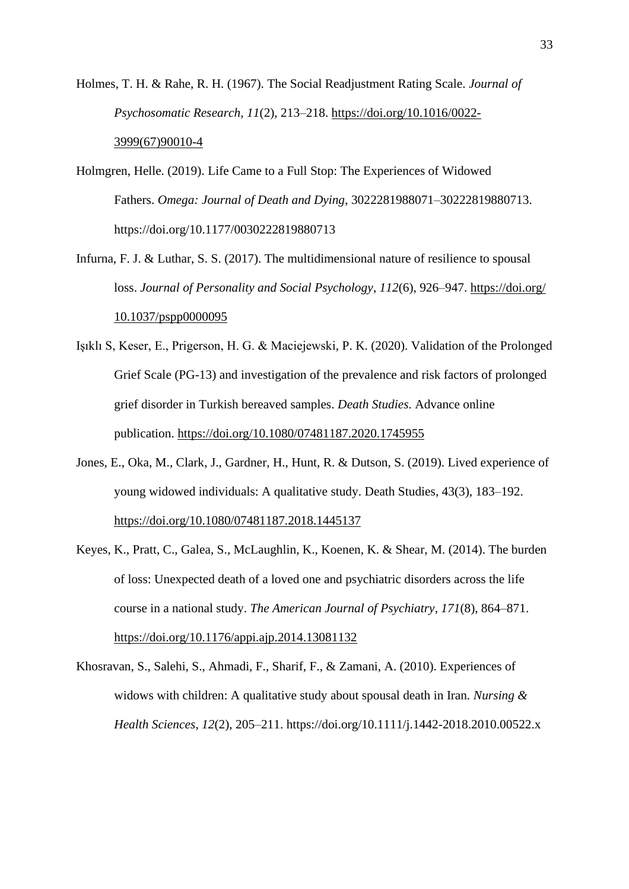Holmes, T. H. & Rahe, R. H. (1967). The Social Readjustment Rating Scale. *Journal of Psychosomatic Research, 11*(2), 213–218. [https://doi.org/10.1016/0022-](https://doi.org/10.1016/0022-%093999(67)90010-4) [3999\(67\)90010-4](https://doi.org/10.1016/0022-%093999(67)90010-4)

- Holmgren, Helle. (2019). Life Came to a Full Stop: The Experiences of Widowed Fathers. *Omega: Journal of Death and Dying*, 3022281988071–30222819880713. https://doi.org/10.1177/0030222819880713
- Infurna, F. J. & Luthar, S. S. (2017). The multidimensional nature of resilience to spousal loss. *Journal of Personality and Social Psychology*, *112*(6), 926–947. [https://doi.org/](https://doi.org/10.1037/pspp0000095) [10.1037/pspp0000095](https://doi.org/10.1037/pspp0000095)
- Işıklı S, Keser, E., Prigerson, H. G. & Maciejewski, P. K. (2020). Validation of the Prolonged Grief Scale (PG-13) and investigation of the prevalence and risk factors of prolonged grief disorder in Turkish bereaved samples. *Death Studies*. Advance online publication.<https://doi.org/10.1080/07481187.2020.1745955>
- Jones, E., Oka, M., Clark, J., Gardner, H., Hunt, R. & Dutson, S. (2019). Lived experience of young widowed individuals: A qualitative study. Death Studies, 43(3), 183–192. <https://doi.org/10.1080/07481187.2018.1445137>
- Keyes, K., Pratt, C., Galea, S., McLaughlin, K., Koenen, K. & Shear, M. (2014). The burden of loss: Unexpected death of a loved one and psychiatric disorders across the life course in a national study. *The American Journal of Psychiatry*, *171*(8), 864–871. <https://doi.org/10.1176/appi.ajp.2014.13081132>
- Khosravan, S., Salehi, S., Ahmadi, F., Sharif, F., & Zamani, A. (2010). Experiences of widows with children: A qualitative study about spousal death in Iran. *Nursing & Health Sciences*, *12*(2), 205–211. https://doi.org/10.1111/j.1442-2018.2010.00522.x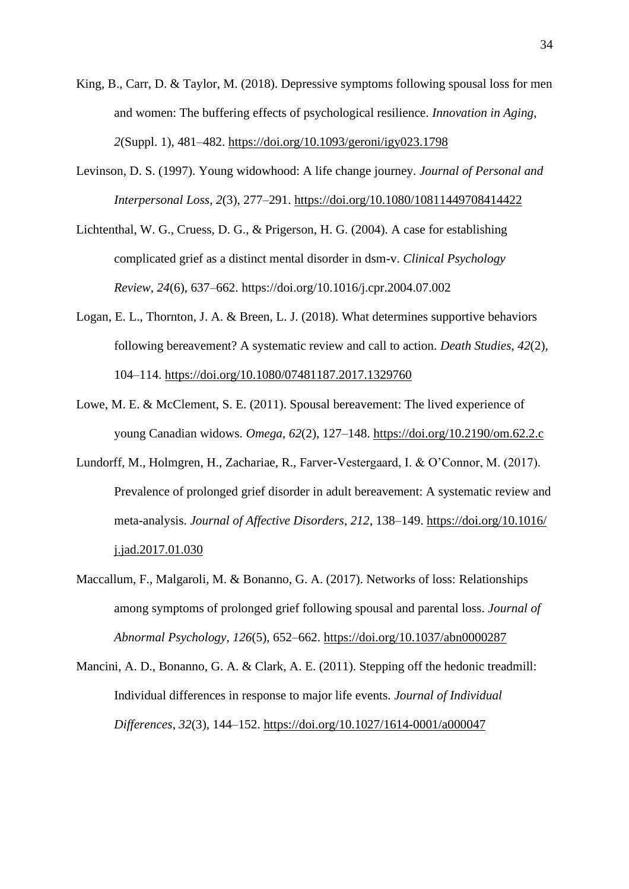- King, B., Carr, D. & Taylor, M. (2018). Depressive symptoms following spousal loss for men and women: The buffering effects of psychological resilience. *Innovation in Aging*, *2*(Suppl. 1), 481–482.<https://doi.org/10.1093/geroni/igy023.1798>
- Levinson, D. S. (1997). Young widowhood: A life change journey. *Journal of Personal and Interpersonal Loss*, *2*(3), 277–291.<https://doi.org/10.1080/10811449708414422>
- Lichtenthal, W. G., Cruess, D. G., & Prigerson, H. G. (2004). A case for establishing complicated grief as a distinct mental disorder in dsm-v. *Clinical Psychology Review*, *24*(6), 637–662. https://doi.org/10.1016/j.cpr.2004.07.002
- Logan, E. L., Thornton, J. A. & Breen, L. J. (2018). What determines supportive behaviors following bereavement? A systematic review and call to action. *Death Studies*, *42*(2), 104–114.<https://doi.org/10.1080/07481187.2017.1329760>
- Lowe, M. E. & McClement, S. E. (2011). Spousal bereavement: The lived experience of young Canadian widows. *Omega*, *62*(2), 127–148.<https://doi.org/10.2190/om.62.2.c>
- Lundorff, M., Holmgren, H., Zachariae, R., Farver-Vestergaard, I. & O'Connor, M. (2017). Prevalence of prolonged grief disorder in adult bereavement: A systematic review and meta-analysis. *Journal of Affective Disorders*, *212*, 138–149. [https://doi.org/10.1016/](https://doi.org/10.1016/j.jad.2017.01.030) [j.jad.2017.01.030](https://doi.org/10.1016/j.jad.2017.01.030)
- Maccallum, F., Malgaroli, M. & Bonanno, G. A. (2017). Networks of loss: Relationships among symptoms of prolonged grief following spousal and parental loss. *Journal of Abnormal Psychology*, *126*(5), 652–662.<https://doi.org/10.1037/abn0000287>
- Mancini, A. D., Bonanno, G. A. & Clark, A. E. (2011). Stepping off the hedonic treadmill: Individual differences in response to major life events. *Journal of Individual Differences*, *32*(3), 144–152.<https://doi.org/10.1027/1614-0001/a000047>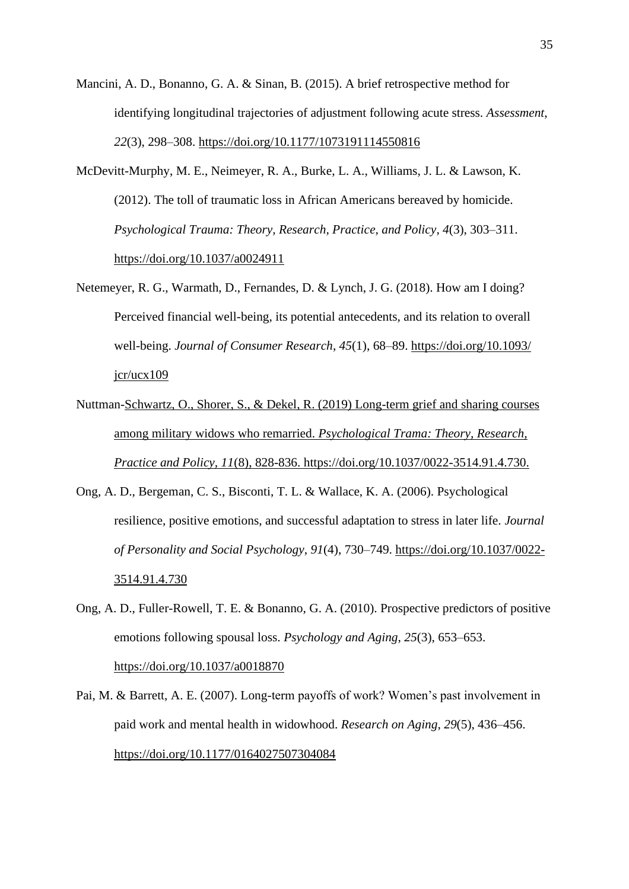- Mancini, A. D., Bonanno, G. A. & Sinan, B. (2015). A brief retrospective method for identifying longitudinal trajectories of adjustment following acute stress. *Assessment*, *22*(3), 298–308.<https://doi.org/10.1177/1073191114550816>
- McDevitt-Murphy, M. E., Neimeyer, R. A., Burke, L. A., Williams, J. L. & Lawson, K. (2012). The toll of traumatic loss in African Americans bereaved by homicide. *Psychological Trauma: Theory, Research, Practice, and Policy*, *4*(3), 303–311. <https://doi.org/10.1037/a0024911>
- Netemeyer, R. G., Warmath, D., Fernandes, D. & Lynch, J. G. (2018). How am I doing? Perceived financial well-being, its potential antecedents, and its relation to overall well-being. *Journal of Consumer Research*, *45*(1), 68–89. [https://doi.org/10.1093/](https://doi.org/10.1093/jcr/ucx109)  $jcr/ucx109$
- Nuttman-Schwartz, O., Shorer, S., & Dekel, R. (2019) Long-term grief and sharing courses among military widows who remarried. *Psychological Trama: Theory, Research, Practice and Policy, 11*(8), 828-836. https://doi.org/10.1037/0022-3514.91.4.730.
- Ong, A. D., Bergeman, C. S., Bisconti, T. L. & Wallace, K. A. (2006). Psychological resilience, positive emotions, and successful adaptation to stress in later life. *Journal of Personality and Social Psychology*, *91*(4), 730–749. [https://doi.org/10.1037/0022-](https://doi.org/10.1037/0022-3514.91.4.730) [3514.91.4.730](https://doi.org/10.1037/0022-3514.91.4.730)
- Ong, A. D., Fuller-Rowell, T. E. & Bonanno, G. A. (2010). Prospective predictors of positive emotions following spousal loss. *Psychology and Aging*, *25*(3), 653–653. <https://doi.org/10.1037/a0018870>
- Pai, M. & Barrett, A. E. (2007). Long-term payoffs of work? Women's past involvement in paid work and mental health in widowhood. *Research on Aging*, *29*(5), 436–456. <https://doi.org/10.1177/0164027507304084>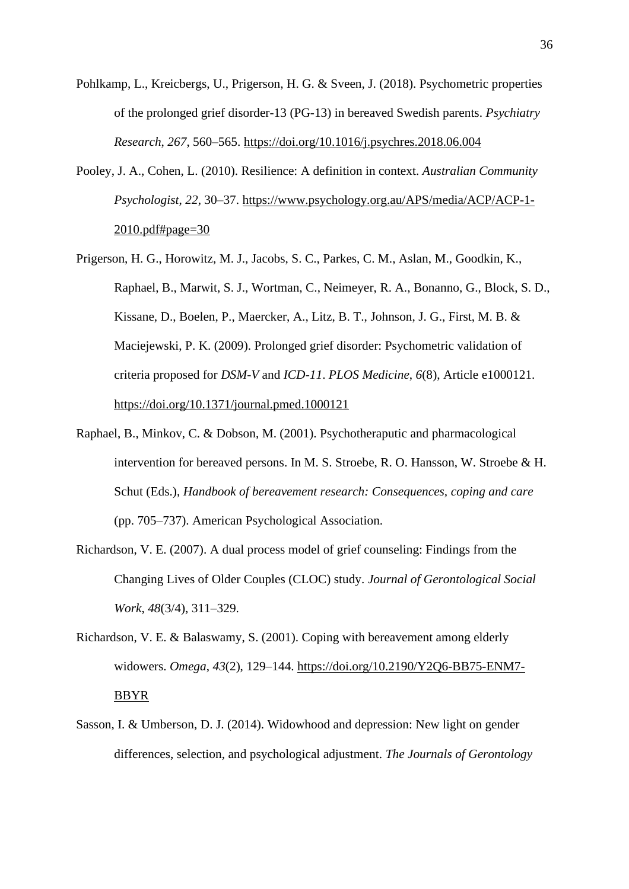- Pohlkamp, L., Kreicbergs, U., Prigerson, H. G. & Sveen, J. (2018). Psychometric properties of the prolonged grief disorder-13 (PG-13) in bereaved Swedish parents. *Psychiatry Research*, *267*, 560–565.<https://doi.org/10.1016/j.psychres.2018.06.004>
- Pooley, J. A., Cohen, L. (2010). Resilience: A definition in context. *Australian Community Psychologist*, *22*, 30–37. [https://www.psychology.org.au/APS/media/ACP/ACP-1-](https://www.psychology.org.au/APS/media/ACP/ACP-1-2010.pdf#page=30) [2010.pdf#page=30](https://www.psychology.org.au/APS/media/ACP/ACP-1-2010.pdf#page=30)
- Prigerson, H. G., Horowitz, M. J., Jacobs, S. C., Parkes, C. M., Aslan, M., Goodkin, K., Raphael, B., Marwit, S. J., Wortman, C., Neimeyer, R. A., Bonanno, G., Block, S. D., Kissane, D., Boelen, P., Maercker, A., Litz, B. T., Johnson, J. G., First, M. B. & Maciejewski, P. K. (2009). Prolonged grief disorder: Psychometric validation of criteria proposed for *DSM-V* and *ICD-11*. *PLOS Medicine*, *6*(8), Article e1000121. <https://doi.org/10.1371/journal.pmed.1000121>
- Raphael, B., Minkov, C. & Dobson, M. (2001). Psychotheraputic and pharmacological intervention for bereaved persons. In M. S. Stroebe, R. O. Hansson, W. Stroebe & H. Schut (Eds.), *Handbook of bereavement research: Consequences, coping and care* (pp. 705–737). American Psychological Association.
- Richardson, V. E. (2007). A dual process model of grief counseling: Findings from the Changing Lives of Older Couples (CLOC) study. *Journal of Gerontological Social Work*, *48*(3/4), 311–329.
- Richardson, V. E. & Balaswamy, S. (2001). Coping with bereavement among elderly widowers. *Omega*, *43*(2), 129–144. [https://doi.org/10.2190/Y2Q6-BB75-ENM7-](https://doi.org/10.2190/Y2Q6-BB75-ENM7-BBYR) [BBYR](https://doi.org/10.2190/Y2Q6-BB75-ENM7-BBYR)
- Sasson, I. & Umberson, D. J. (2014). Widowhood and depression: New light on gender differences, selection, and psychological adjustment. *The Journals of Gerontology*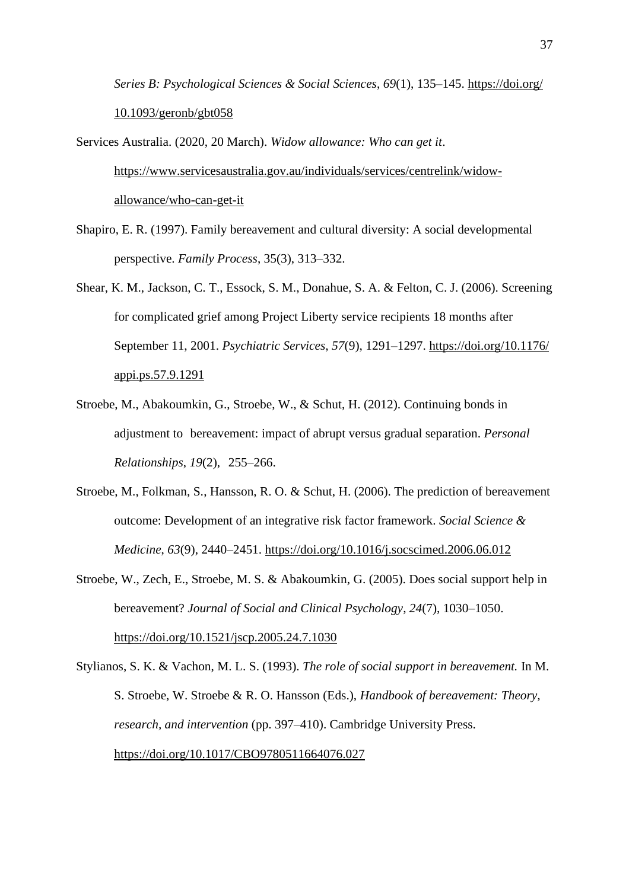*Series B: Psychological Sciences & Social Sciences*, *69*(1), 135–145. [https://doi.org/](https://doi.org/10.1093/geronb/gbt058) [10.1093/geronb/gbt058](https://doi.org/10.1093/geronb/gbt058)

Services Australia. (2020, 20 March). *Widow allowance: Who can get it*. [https://www.servicesaustralia.gov.au/individuals/services/centrelink/widow](https://www.servicesaustralia.gov.au/individuals/services/centrelink/widow-%09allowance/who-can-get-it)[allowance/who-can-get-it](https://www.servicesaustralia.gov.au/individuals/services/centrelink/widow-%09allowance/who-can-get-it)

- Shapiro, E. R. (1997). Family bereavement and cultural diversity: A social developmental perspective. *Family Process*, 35(3), 313–332.
- Shear, K. M., Jackson, C. T., Essock, S. M., Donahue, S. A. & Felton, C. J. (2006). Screening for complicated grief among Project Liberty service recipients 18 months after September 11, 2001. *Psychiatric Services*, *57*(9), 1291–1297. [https://doi.org/10.1176/](https://doi.org/10.1176/appi.ps.57.9.1291) [appi.ps.57.9.1291](https://doi.org/10.1176/appi.ps.57.9.1291)
- Stroebe, M., Abakoumkin, G., Stroebe, W., & Schut, H. (2012). Continuing bonds in adjustment to bereavement: impact of abrupt versus gradual separation. *Personal Relationships*, *19*(2), 255–266.
- Stroebe, M., Folkman, S., Hansson, R. O. & Schut, H. (2006). The prediction of bereavement outcome: Development of an integrative risk factor framework. *Social Science & Medicine*, *63*(9), 2440–2451.<https://doi.org/10.1016/j.socscimed.2006.06.012>
- Stroebe, W., Zech, E., Stroebe, M. S. & Abakoumkin, G. (2005). Does social support help in bereavement? *Journal of Social and Clinical Psychology*, *24*(7), 1030–1050. <https://doi.org/10.1521/jscp.2005.24.7.1030>
- Stylianos, S. K. & Vachon, M. L. S. (1993). *The role of social support in bereavement.* In M. S. Stroebe, W. Stroebe & R. O. Hansson (Eds.), *Handbook of bereavement: Theory, research, and intervention* (pp. 397–410). Cambridge University Press. [https://doi.org/10.1017/CBO9780511664076.027](https://psycnet.apa.org/doi/10.1017/CBO9780511664076.027)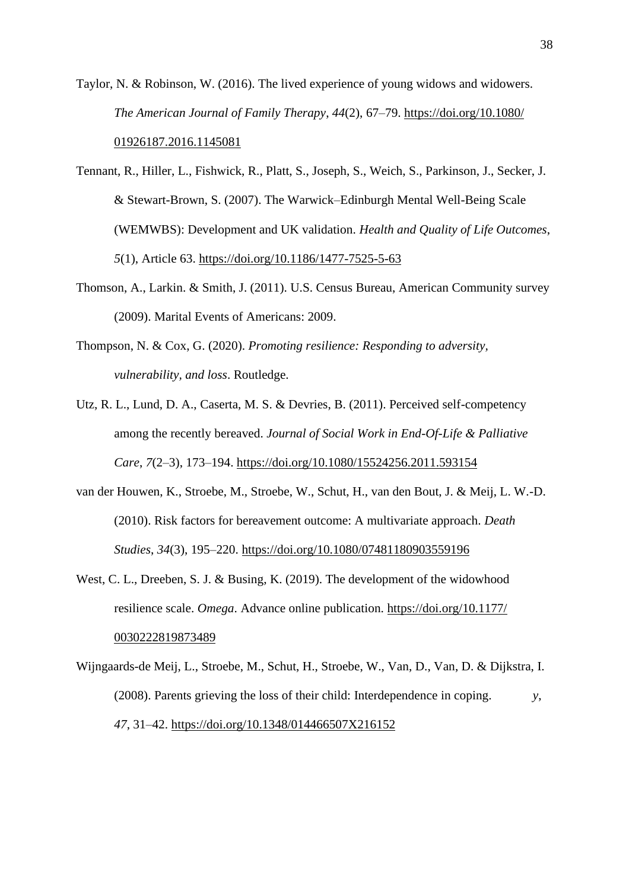- Taylor, N. & Robinson, W. (2016). The lived experience of young widows and widowers. *The American Journal of Family Therapy*, *44*(2), 67–79. [https://doi.org/10.1080/](https://doi.org/10.1080/01926187.2016.1145081) [01926187.2016.1145081](https://doi.org/10.1080/01926187.2016.1145081)
- Tennant, R., Hiller, L., Fishwick, R., Platt, S., Joseph, S., Weich, S., Parkinson, J., Secker, J. & Stewart-Brown, S. (2007). The Warwick–Edinburgh Mental Well-Being Scale (WEMWBS): Development and UK validation. *Health and Quality of Life Outcomes*, *5*(1), Article 63.<https://doi.org/10.1186/1477-7525-5-63>
- Thomson, A., Larkin. & Smith, J. (2011). U.S. Census Bureau, American Community survey (2009). Marital Events of Americans: 2009.
- Thompson, N. & Cox, G. (2020). *Promoting resilience: Responding to adversity, vulnerability, and loss*. Routledge.
- Utz, R. L., Lund, D. A., Caserta, M. S. & Devries, B. (2011). Perceived self-competency among the recently bereaved. *Journal of Social Work in End-Of-Life & Palliative Care*, *7*(2–3), 173–194.<https://doi.org/10.1080/15524256.2011.593154>
- van der Houwen, K., Stroebe, M., Stroebe, W., Schut, H., van den Bout, J. & Meij, L. W.-D. (2010). Risk factors for bereavement outcome: A multivariate approach. *Death Studies*, *34*(3), 195–220.<https://doi.org/10.1080/07481180903559196>
- West, C. L., Dreeben, S. J. & Busing, K. (2019). The development of the widowhood resilience scale. *Omega*. Advance online publication. [https://doi.org/10.1177/](https://doi.org/10.1177/0030222819873489) [0030222819873489](https://doi.org/10.1177/0030222819873489)
- Wijngaards-de Meij, L., Stroebe, M., Schut, H., Stroebe, W., Van, D., Van, D. & Dijkstra, I. (2008). Parents grieving the loss of their child: Interdependence in coping. *y*, *47*, 31–42.<https://doi.org/10.1348/014466507X216152>